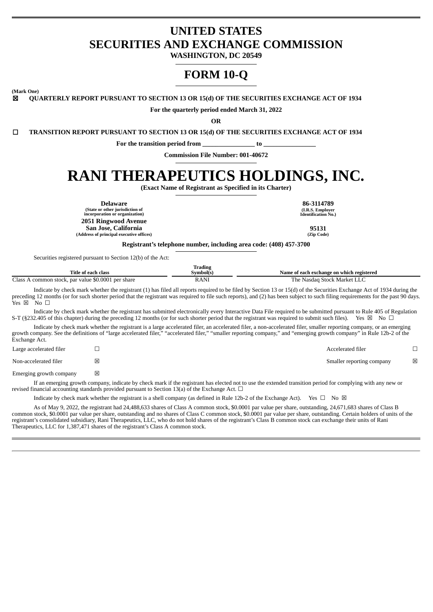# **UNITED STATES SECURITIES AND EXCHANGE COMMISSION**

**WASHINGTON, DC 20549**

# **FORM 10-Q**

**(Mark One)**

☒ **QUARTERLY REPORT PURSUANT TO SECTION 13 OR 15(d) OF THE SECURITIES EXCHANGE ACT OF 1934**

**For the quarterly period ended March 31, 2022**

**OR**

☐ **TRANSITION REPORT PURSUANT TO SECTION 13 OR 15(d) OF THE SECURITIES EXCHANGE ACT OF 1934**

**For the transition period from \_\_\_\_\_\_\_\_\_\_\_\_\_\_\_\_ to \_\_\_\_\_\_\_\_\_\_\_\_\_\_\_\_**

**Commission File Number: 001-40672**

# **RANI THERAPEUTICS HOLDINGS, INC.**

**(Exact Name of Registrant as Specified in its Charter)**

**Delaware 86-3114789 (State or other jurisdiction of incorporation or organization) 2051 Ringwood Avenue San Jose, California 95131 (Address of principal executive offices) (Zip Code)**

**(I.R.S. Employer Identification No.)**

**Registrant's telephone number, including area code: (408) 457-3700**

Securities registered pursuant to Section 12(b) of the Act:

|                                                               | Tradine  |                                                 |
|---------------------------------------------------------------|----------|-------------------------------------------------|
| Title of each class                                           | vmbol(s. | Name of each exchange on which registered       |
| Class<br>\$0,000<br>per share<br>. par value<br>common stock. | RANI     | Stock Market<br>r ne-<br>Nasdad<br>$\mathbf{1}$ |

Indicate by check mark whether the registrant (1) has filed all reports required to be filed by Section 13 or 15(d) of the Securities Exchange Act of 1934 during the preceding 12 months (or for such shorter period that the registrant was required to file such reports), and (2) has been subject to such filing requirements for the past 90 days.  $V_{\text{AC}}$   $\boxtimes$   $N_0$   $\Box$ 

Indicate by check mark whether the registrant has submitted electronically every Interactive Data File required to be submitted pursuant to Rule 405 of Regulation S-T (§232.405 of this chapter) during the preceding 12 months (or for such shorter period that the registrant was required to submit such files). Yes ⊠ No  $\Box$ 

Indicate by check mark whether the registrant is a large accelerated filer, an accelerated filer, a non-accelerated filer, smaller reporting company, or an emerging growth company. See the definitions of "large accelerated filer," "accelerated filer," "smaller reporting company," and "emerging growth company" in Rule 12b-2 of the Exchange Act.

| Large accelerated filer |   | Accelerated filer         |   |
|-------------------------|---|---------------------------|---|
| Non-accelerated filer   | ⊠ | Smaller reporting company | 区 |
| Emerging growth company | ⊠ |                           |   |

If an emerging growth company, indicate by check mark if the registrant has elected not to use the extended transition period for complying with any new or revised financial accounting standards provided pursuant to Section 13(a) of the Exchange Act.  $\Box$ 

Indicate by check mark whether the registrant is a shell company (as defined in Rule 12b-2 of the Exchange Act). Yes  $\Box$  No  $\boxtimes$ 

As of May 9, 2022, the registrant had 24,488,633 shares of Class A common stock, \$0.0001 par value per share, outstanding, 24,671,683 shares of Class B common stock, \$0.0001 par value per share, outstanding and no shares of Class C common stock, \$0.0001 par value per share, outstanding. Certain holders of units of the registrant's consolidated subsidiary, Rani Therapeutics, LLC, who do not hold shares of the registrant's Class B common stock can exchange their units of Rani Therapeutics, LLC for 1,387,471 shares of the registrant's Class A common stock.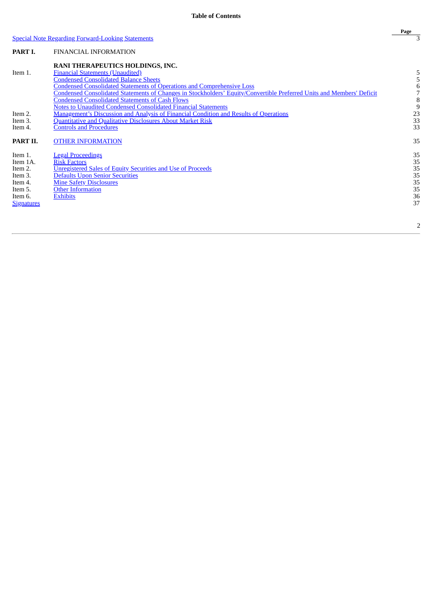| PART I.           | <b>FINANCIAL INFORMATION</b>                                                                                          |    |
|-------------------|-----------------------------------------------------------------------------------------------------------------------|----|
|                   | <b>RANI THERAPEUTICS HOLDINGS, INC.</b>                                                                               |    |
| Item 1.           | <b>Financial Statements (Unaudited)</b>                                                                               |    |
|                   | <b>Condensed Consolidated Balance Sheets</b>                                                                          |    |
|                   | <b>Condensed Consolidated Statements of Operations and Comprehensive Loss</b>                                         | 6  |
|                   | Condensed Consolidated Statements of Changes in Stockholders' Equity/Convertible Preferred Units and Members' Deficit |    |
|                   | <b>Condensed Consolidated Statements of Cash Flows</b>                                                                | 8  |
|                   | <b>Notes to Unaudited Condensed Consolidated Financial Statements</b>                                                 | 9  |
| Item 2.           | <b>Management's Discussion and Analysis of Financial Condition and Results of Operations</b>                          | 23 |
| Item 3.           | Quantitative and Qualitative Disclosures About Market Risk                                                            | 33 |
| Item 4.           | <b>Controls and Procedures</b>                                                                                        | 33 |
| PART II.          | <b>OTHER INFORMATION</b>                                                                                              | 35 |
| Item 1.           | <b>Legal Proceedings</b>                                                                                              | 35 |
| Item 1A.          | <b>Risk Factors</b>                                                                                                   | 35 |
| Item 2.           | Unregistered Sales of Equity Securities and Use of Proceeds                                                           | 35 |
| Item 3.           | <b>Defaults Upon Senior Securities</b>                                                                                | 35 |
| Item 4.           | <b>Mine Safety Disclosures</b>                                                                                        | 35 |
| Item 5.           | <b>Other Information</b>                                                                                              | 35 |
| Item 6.           | <b>Exhibits</b>                                                                                                       | 36 |
| <b>Signatures</b> |                                                                                                                       | 37 |
|                   |                                                                                                                       |    |

2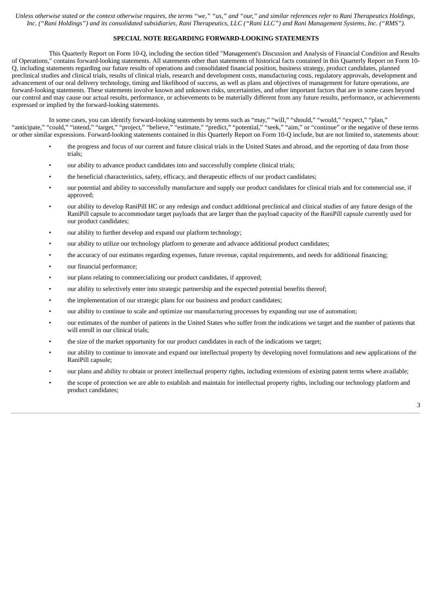Unless otherwise stated or the context otherwise requires, the terms "we," "us," and "our," and similar references refer to Rani Therapeutics Holdings, Inc. ("Rani Holdings") and its consolidated subsidiaries, Rani Therapeutics, LLC ("Rani LLC") and Rani Management Systems, Inc. ("RMS").

#### **SPECIAL NOTE REGARDING FORWARD-LOOKING STATEMENTS**

<span id="page-2-0"></span>This Quarterly Report on Form 10-Q, including the section titled "Management's Discussion and Analysis of Financial Condition and Results of Operations," contains forward-looking statements. All statements other than statements of historical facts contained in this Quarterly Report on Form 10- Q, including statements regarding our future results of operations and consolidated financial position, business strategy, product candidates, planned preclinical studies and clinical trials, results of clinical trials, research and development costs, manufacturing costs, regulatory approvals, development and advancement of our oral delivery technology, timing and likelihood of success, as well as plans and objectives of management for future operations, are forward-looking statements. These statements involve known and unknown risks, uncertainties, and other important factors that are in some cases beyond our control and may cause our actual results, performance, or achievements to be materially different from any future results, performance, or achievements expressed or implied by the forward-looking statements.

In some cases, you can identify forward-looking statements by terms such as "may," "will," "should," "would," "expect," "plan," "anticipate," "could," "intend," "target," "project," "believe," "estimate," "predict," "potential," "seek," "aim," or "continue" or the negative of these terms or other similar expressions. Forward-looking statements contained in this Quarterly Report on Form 10-Q include, but are not limited to, statements about:

- the progress and focus of our current and future clinical trials in the United States and abroad, and the reporting of data from those trials;
- our ability to advance product candidates into and successfully complete clinical trials;
- the beneficial characteristics, safety, efficacy, and therapeutic effects of our product candidates;
- our potential and ability to successfully manufacture and supply our product candidates for clinical trials and for commercial use, if approved;
- our ability to develop RaniPill HC or any redesign and conduct additional preclinical and clinical studies of any future design of the RaniPill capsule to accommodate target payloads that are larger than the payload capacity of the RaniPill capsule currently used for our product candidates;
- our ability to further develop and expand our platform technology;
- our ability to utilize our technology platform to generate and advance additional product candidates;
- the accuracy of our estimates regarding expenses, future revenue, capital requirements, and needs for additional financing;
- our financial performance;
- our plans relating to commercializing our product candidates, if approved;
- our ability to selectively enter into strategic partnership and the expected potential benefits thereof;
- the implementation of our strategic plans for our business and product candidates;
- our ability to continue to scale and optimize our manufacturing processes by expanding our use of automation;
- our estimates of the number of patients in the United States who suffer from the indications we target and the number of patients that will enroll in our clinical trials;
- the size of the market opportunity for our product candidates in each of the indications we target;
- our ability to continue to innovate and expand our intellectual property by developing novel formulations and new applications of the RaniPill capsule;
- our plans and ability to obtain or protect intellectual property rights, including extensions of existing patent terms where available;
- the scope of protection we are able to establish and maintain for intellectual property rights, including our technology platform and product candidates;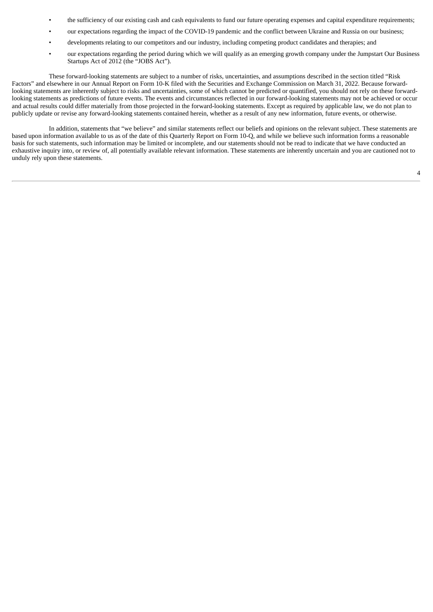- the sufficiency of our existing cash and cash equivalents to fund our future operating expenses and capital expenditure requirements;
- our expectations regarding the impact of the COVID-19 pandemic and the conflict between Ukraine and Russia on our business;
- developments relating to our competitors and our industry, including competing product candidates and therapies; and
- our expectations regarding the period during which we will qualify as an emerging growth company under the Jumpstart Our Business Startups Act of 2012 (the "JOBS Act").

These forward-looking statements are subject to a number of risks, uncertainties, and assumptions described in the section titled "Risk Factors" and elsewhere in our Annual Report on Form 10-K filed with the Securities and Exchange Commission on March 31, 2022. Because forwardlooking statements are inherently subject to risks and uncertainties, some of which cannot be predicted or quantified, you should not rely on these forwardlooking statements as predictions of future events. The events and circumstances reflected in our forward-looking statements may not be achieved or occur and actual results could differ materially from those projected in the forward-looking statements. Except as required by applicable law, we do not plan to publicly update or revise any forward-looking statements contained herein, whether as a result of any new information, future events, or otherwise.

In addition, statements that "we believe" and similar statements reflect our beliefs and opinions on the relevant subject. These statements are based upon information available to us as of the date of this Quarterly Report on Form 10-Q, and while we believe such information forms a reasonable basis for such statements, such information may be limited or incomplete, and our statements should not be read to indicate that we have conducted an exhaustive inquiry into, or review of, all potentially available relevant information. These statements are inherently uncertain and you are cautioned not to unduly rely upon these statements.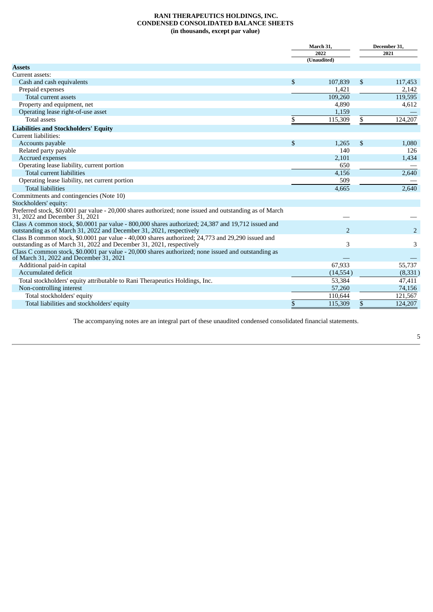#### **RANI THERAPEUTICS HOLDINGS, INC. CONDENSED CONSOLIDATED BALANCE SHEETS (in thousands, except par value)**

<span id="page-4-0"></span>

|                                                                                                                                                                            | March 31,                 |                |    | December 31, |
|----------------------------------------------------------------------------------------------------------------------------------------------------------------------------|---------------------------|----------------|----|--------------|
|                                                                                                                                                                            |                           | 2022           |    | 2021         |
|                                                                                                                                                                            |                           | (Unaudited)    |    |              |
| <b>Assets</b>                                                                                                                                                              |                           |                |    |              |
| Current assets:                                                                                                                                                            |                           |                |    |              |
| Cash and cash equivalents                                                                                                                                                  | $\mathfrak{S}$            | 107,839        | \$ | 117,453      |
| Prepaid expenses                                                                                                                                                           |                           | 1,421          |    | 2,142        |
| Total current assets                                                                                                                                                       |                           | 109,260        |    | 119,595      |
| Property and equipment, net                                                                                                                                                |                           | 4,890          |    | 4,612        |
| Operating lease right-of-use asset                                                                                                                                         |                           | 1,159          |    |              |
| <b>Total assets</b>                                                                                                                                                        | \$                        | 115,309        | \$ | 124,207      |
| <b>Liabilities and Stockholders' Equity</b>                                                                                                                                |                           |                |    |              |
| Current liabilities:                                                                                                                                                       |                           |                |    |              |
| Accounts payable                                                                                                                                                           | $\boldsymbol{\mathsf{S}}$ | 1,265          | \$ | 1,080        |
| Related party payable                                                                                                                                                      |                           | 140            |    | 126          |
| <b>Accrued expenses</b>                                                                                                                                                    |                           | 2,101          |    | 1,434        |
| Operating lease liability, current portion                                                                                                                                 |                           | 650            |    |              |
| Total current liabilities                                                                                                                                                  |                           | 4,156          |    | 2,640        |
| Operating lease liability, net current portion                                                                                                                             |                           | 509            |    |              |
| <b>Total liabilities</b>                                                                                                                                                   |                           | 4,665          |    | 2,640        |
| Commitments and contingencies (Note 10)                                                                                                                                    |                           |                |    |              |
| Stockholders' equity:                                                                                                                                                      |                           |                |    |              |
| Preferred stock, \$0.0001 par value - 20,000 shares authorized; none issued and outstanding as of March<br>31, 2022 and December 31, 2021                                  |                           |                |    |              |
| Class A common stock, \$0,0001 par value - 800,000 shares authorized; 24,387 and 19,712 issued and<br>outstanding as of March 31, 2022 and December 31, 2021, respectively |                           | $\overline{2}$ |    | 2            |
| Class B common stock, \$0.0001 par value - 40,000 shares authorized; 24,773 and 29,290 issued and<br>outstanding as of March 31, 2022 and December 31, 2021, respectively  |                           | 3              |    | 3            |
| Class C common stock, \$0.0001 par value - 20,000 shares authorized; none issued and outstanding as<br>of March 31, 2022 and December 31, 2021                             |                           |                |    |              |
| Additional paid-in capital                                                                                                                                                 |                           | 67,933         |    | 55,737       |
| Accumulated deficit                                                                                                                                                        |                           | (14, 554)      |    | (8, 331)     |
| Total stockholders' equity attributable to Rani Therapeutics Holdings, Inc.                                                                                                |                           | 53,384         |    | 47,411       |
| Non-controlling interest                                                                                                                                                   |                           | 57,260         |    | 74,156       |
| Total stockholders' equity                                                                                                                                                 |                           | 110,644        |    | 121,567      |
| Total liabilities and stockholders' equity                                                                                                                                 | \$                        | 115,309        | \$ | 124,207      |
|                                                                                                                                                                            |                           |                |    |              |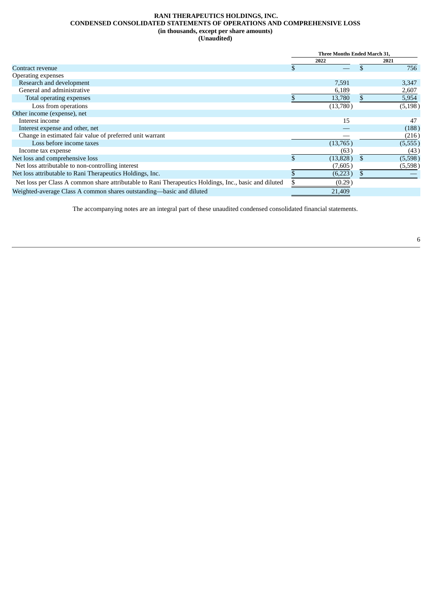#### **RANI THERAPEUTICS HOLDINGS, INC. CONDENSED CONSOLIDATED STATEMENTS OF OPERATIONS AND COMPREHENSIVE LOSS (in thousands, except per share amounts) (Unaudited)**

<span id="page-5-0"></span>

|                                                                                                       | <b>Three Months Ended March 31.</b> |           |    |          |
|-------------------------------------------------------------------------------------------------------|-------------------------------------|-----------|----|----------|
|                                                                                                       |                                     | 2022      |    | 2021     |
| Contract revenue                                                                                      | \$                                  |           | \$ | 756      |
| <b>Operating expenses</b>                                                                             |                                     |           |    |          |
| Research and development                                                                              |                                     | 7,591     |    | 3,347    |
| General and administrative                                                                            |                                     | 6,189     |    | 2,607    |
| Total operating expenses                                                                              |                                     | 13,780    | \$ | 5,954    |
| Loss from operations                                                                                  |                                     | (13,780)  |    | (5, 198) |
| Other income (expense), net                                                                           |                                     |           |    |          |
| Interest income                                                                                       |                                     | 15        |    | 47       |
| Interest expense and other, net                                                                       |                                     |           |    | (188)    |
| Change in estimated fair value of preferred unit warrant                                              |                                     |           |    | (216)    |
| Loss before income taxes                                                                              |                                     | (13,765)  |    | (5,555)  |
| Income tax expense                                                                                    |                                     | (63)      |    | (43)     |
| Net loss and comprehensive loss                                                                       |                                     | (13, 828) | \$ | (5,598)  |
| Net loss attributable to non-controlling interest                                                     |                                     | (7,605)   |    | (5,598)  |
| Net loss attributable to Rani Therapeutics Holdings, Inc.                                             |                                     | (6,223)   | \$ |          |
| Net loss per Class A common share attributable to Rani Therapeutics Holdings, Inc., basic and diluted |                                     | (0.29)    |    |          |
| Weighted-average Class A common shares outstanding—basic and diluted                                  |                                     | 21,409    |    |          |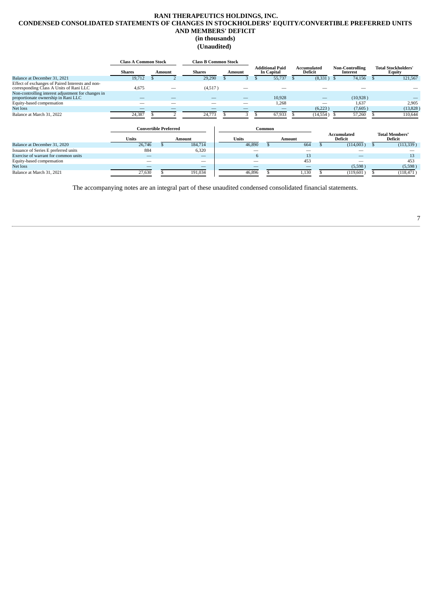#### <span id="page-6-0"></span>**RANI THERAPEUTICS HOLDINGS, INC. CONDENSED CONSOLIDATED STATEMENTS OF CHANGES IN STOCKHOLDERS' EQUITY/CONVERTIBLE PREFERRED UNITS AND MEMBERS' DEFICIT (in thousands) (Unaudited)**

|                                                                                             | <b>Class A Common Stock</b> |                              | <b>Class B Common Stock</b> |                          |                                             |                        |           |                                    |                                      |
|---------------------------------------------------------------------------------------------|-----------------------------|------------------------------|-----------------------------|--------------------------|---------------------------------------------|------------------------|-----------|------------------------------------|--------------------------------------|
|                                                                                             | <b>Shares</b>               | <b>Amount</b>                | Shares                      | <b>Amount</b>            | <b>Additional Paid</b><br><b>In Capital</b> | Accumulated<br>Deficit |           | <b>Non-Controlling</b><br>Interest | <b>Total Stockholders'</b><br>Equity |
| Balance at December 31, 2021                                                                | 19,712                      |                              | 29,290                      |                          | 55,737                                      |                        | (8,331)   | 74,156                             | 121,567                              |
| Effect of exchanges of Paired Interests and non-<br>corresponding Class A Units of Rani LLC | 4,675                       |                              | (4,517)                     |                          |                                             |                        |           |                                    |                                      |
| Non-controlling interest adjustment for changes in<br>proportionate ownership in Rani LLC   |                             | $\overline{\phantom{a}}$     |                             |                          | 10,928                                      |                        |           | (10, 928)                          |                                      |
| Equity-based compensation                                                                   |                             |                              |                             |                          | 1,268                                       |                        | _         | 1,637                              | 2,905                                |
| Net loss                                                                                    |                             |                              |                             | _                        |                                             |                        | (6,223)   | (7,605)                            | (13,828)                             |
| Balance at March 31, 2022                                                                   | 24,387                      |                              | 24,773                      |                          | 67,933                                      |                        | (14, 554) | 57,260                             | 110,644                              |
|                                                                                             |                             | <b>Convertible Preferred</b> |                             |                          | Common                                      |                        |           |                                    |                                      |
|                                                                                             | <b>Units</b>                |                              | <b>Amount</b>               | <b>Units</b>             |                                             | <b>Amount</b>          |           | Accumulated<br>Deficit             | <b>Total Members'</b><br>Deficit     |
| Balance at December 31, 2020                                                                | 26,746                      |                              | 184,714                     | 46,890                   |                                             | 664                    |           | (114,003)                          | (113, 339)                           |
| Issuance of Series E preferred units                                                        | 884                         |                              | 6,320                       | $\overline{\phantom{a}}$ |                                             | _                      |           |                                    |                                      |
| Exercise of warrant for common units                                                        |                             |                              | $\overline{\phantom{a}}$    | 6                        |                                             | 13                     |           |                                    | 13                                   |
| Equity-based compensation                                                                   | --                          |                              | $\overline{\phantom{a}}$    | $\overline{\phantom{a}}$ |                                             | 453                    |           | $\overline{\phantom{a}}$           | 453                                  |
| Net loss                                                                                    |                             |                              | –                           |                          |                                             | _                      |           | (5,598)                            | (5,598)                              |
| Balance at March 31, 2021                                                                   | 27,630                      |                              | 191,034                     | 46,896                   |                                             | 1,130                  |           | (119, 601)                         | (118, 471)                           |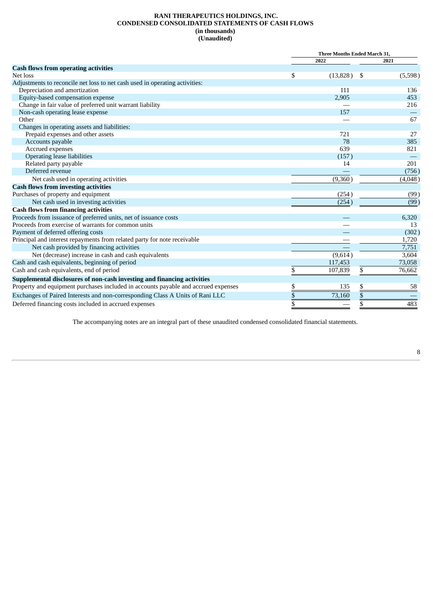#### **RANI THERAPEUTICS HOLDINGS, INC. CONDENSED CONSOLIDATED STATEMENTS OF CASH FLOWS (in thousands) (Unaudited)**

<span id="page-7-0"></span>

|                                                                                    | Three Months Ended March 31, |               |    |         |
|------------------------------------------------------------------------------------|------------------------------|---------------|----|---------|
|                                                                                    |                              | 2022          |    | 2021    |
| <b>Cash flows from operating activities</b>                                        |                              |               |    |         |
| Net loss                                                                           | \$                           | $(13,828)$ \$ |    | (5,598) |
| Adjustments to reconcile net loss to net cash used in operating activities:        |                              |               |    |         |
| Depreciation and amortization                                                      |                              | 111           |    | 136     |
| Equity-based compensation expense                                                  |                              | 2,905         |    | 453     |
| Change in fair value of preferred unit warrant liability                           |                              |               |    | 216     |
| Non-cash operating lease expense                                                   |                              | 157           |    |         |
| Other                                                                              |                              |               |    | 67      |
| Changes in operating assets and liabilities:                                       |                              |               |    |         |
| Prepaid expenses and other assets                                                  |                              | 721           |    | 27      |
| Accounts payable                                                                   |                              | 78            |    | 385     |
| Accrued expenses                                                                   |                              | 639           |    | 821     |
| <b>Operating lease liabilities</b>                                                 |                              | (157)         |    |         |
| Related party payable                                                              |                              | 14            |    | 201     |
| Deferred revenue                                                                   |                              |               |    | (756)   |
| Net cash used in operating activities                                              |                              | (9,360)       |    | (4,048) |
| <b>Cash flows from investing activities</b>                                        |                              |               |    |         |
| Purchases of property and equipment                                                |                              | (254)         |    | (99)    |
| Net cash used in investing activities                                              |                              | (254)         |    | (99)    |
| <b>Cash flows from financing activities</b>                                        |                              |               |    |         |
| Proceeds from issuance of preferred units, net of issuance costs                   |                              |               |    | 6,320   |
| Proceeds from exercise of warrants for common units                                |                              |               |    | 13      |
| Payment of deferred offering costs                                                 |                              |               |    | (302)   |
| Principal and interest repayments from related party for note receivable           |                              |               |    | 1,720   |
| Net cash provided by financing activities                                          |                              |               |    | 7,751   |
| Net (decrease) increase in cash and cash equivalents                               |                              | (9,614)       |    | 3,604   |
| Cash and cash equivalents, beginning of period                                     |                              | 117,453       |    | 73,058  |
| Cash and cash equivalents, end of period                                           | \$                           | 107,839       | \$ | 76,662  |
| Supplemental disclosures of non-cash investing and financing activities            |                              |               |    |         |
| Property and equipment purchases included in accounts payable and accrued expenses | \$                           | 135           | \$ | 58      |
| Exchanges of Paired Interests and non-corresponding Class A Units of Rani LLC      | \$                           | 73,160        | \$ |         |
| Deferred financing costs included in accrued expenses                              | \$                           |               | \$ | 483     |
|                                                                                    |                              |               |    |         |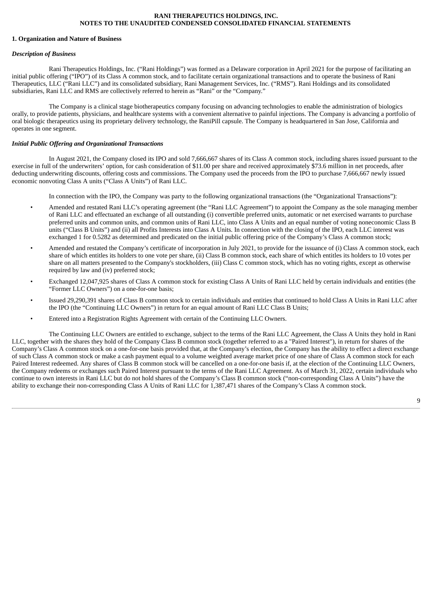#### **RANI THERAPEUTICS HOLDINGS, INC. NOTES TO THE UNAUDITED CONDENSED CONSOLIDATED FINANCIAL STATEMENTS**

#### <span id="page-8-0"></span>**1. Organization and Nature of Business**

#### *Description of Business*

Rani Therapeutics Holdings, Inc. ("Rani Holdings") was formed as a Delaware corporation in April 2021 for the purpose of facilitating an initial public offering ("IPO") of its Class A common stock, and to facilitate certain organizational transactions and to operate the business of Rani Therapeutics, LLC ("Rani LLC") and its consolidated subsidiary, Rani Management Services, Inc. ("RMS"). Rani Holdings and its consolidated subsidiaries, Rani LLC and RMS are collectively referred to herein as "Rani" or the "Company."

The Company is a clinical stage biotherapeutics company focusing on advancing technologies to enable the administration of biologics orally, to provide patients, physicians, and healthcare systems with a convenient alternative to painful injections. The Company is advancing a portfolio of oral biologic therapeutics using its proprietary delivery technology, the RaniPill capsule. The Company is headquartered in San Jose, California and operates in one segment.

#### *Initial Public Offering and Organizational Transactions*

In August 2021, the Company closed its IPO and sold 7,666,667 shares of its Class A common stock, including shares issued pursuant to the exercise in full of the underwriters' option, for cash consideration of \$11.00 per share and received approximately \$73.6 million in net proceeds, after deducting underwriting discounts, offering costs and commissions. The Company used the proceeds from the IPO to purchase 7,666,667 newly issued economic nonvoting Class A units ("Class A Units") of Rani LLC.

In connection with the IPO, the Company was party to the following organizational transactions (the "Organizational Transactions"):

- Amended and restated Rani LLC's operating agreement (the "Rani LLC Agreement") to appoint the Company as the sole managing member of Rani LLC and effectuated an exchange of all outstanding (i) convertible preferred units, automatic or net exercised warrants to purchase preferred units and common units, and common units of Rani LLC, into Class A Units and an equal number of voting noneconomic Class B units ("Class B Units") and (ii) all Profits Interests into Class A Units. In connection with the closing of the IPO, each LLC interest was exchanged 1 for 0.5282 as determined and predicated on the initial public offering price of the Company's Class A common stock;
- Amended and restated the Company's certificate of incorporation in July 2021, to provide for the issuance of (i) Class A common stock, each share of which entitles its holders to one vote per share, (ii) Class B common stock, each share of which entitles its holders to 10 votes per share on all matters presented to the Company's stockholders, (iii) Class C common stock, which has no voting rights, except as otherwise required by law and (iv) preferred stock;
- Exchanged 12,047,925 shares of Class A common stock for existing Class A Units of Rani LLC held by certain individuals and entities (the "Former LLC Owners") on a one-for-one basis;
- Issued 29,290,391 shares of Class B common stock to certain individuals and entities that continued to hold Class A Units in Rani LLC after the IPO (the "Continuing LLC Owners") in return for an equal amount of Rani LLC Class B Units;
- Entered into a Registration Rights Agreement with certain of the Continuing LLC Owners.

The Continuing LLC Owners are entitled to exchange, subject to the terms of the Rani LLC Agreement, the Class A Units they hold in Rani LLC, together with the shares they hold of the Company Class B common stock (together referred to as a "Paired Interest"), in return for shares of the Company's Class A common stock on a one-for-one basis provided that, at the Company's election, the Company has the ability to effect a direct exchange of such Class A common stock or make a cash payment equal to a volume weighted average market price of one share of Class A common stock for each Paired Interest redeemed. Any shares of Class B common stock will be cancelled on a one-for-one basis if, at the election of the Continuing LLC Owners, the Company redeems or exchanges such Paired Interest pursuant to the terms of the Rani LLC Agreement. As of March 31, 2022, certain individuals who continue to own interests in Rani LLC but do not hold shares of the Company's Class B common stock ("non-corresponding Class A Units") have the ability to exchange their non-corresponding Class A Units of Rani LLC for 1,387,471 shares of the Company's Class A common stock.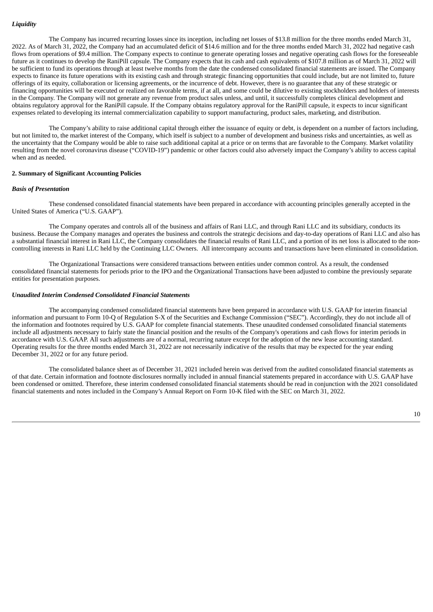#### *Liquidity*

The Company has incurred recurring losses since its inception, including net losses of \$13.8 million for the three months ended March 31, 2022. As of March 31, 2022, the Company had an accumulated deficit of \$14.6 million and for the three months ended March 31, 2022 had negative cash flows from operations of \$9.4 million. The Company expects to continue to generate operating losses and negative operating cash flows for the foreseeable future as it continues to develop the RaniPill capsule. The Company expects that its cash and cash equivalents of \$107.8 million as of March 31, 2022 will be sufficient to fund its operations through at least twelve months from the date the condensed consolidated financial statements are issued. The Company expects to finance its future operations with its existing cash and through strategic financing opportunities that could include, but are not limited to, future offerings of its equity, collaboration or licensing agreements, or the incurrence of debt. However, there is no guarantee that any of these strategic or financing opportunities will be executed or realized on favorable terms, if at all, and some could be dilutive to existing stockholders and holders of interests in the Company. The Company will not generate any revenue from product sales unless, and until, it successfully completes clinical development and obtains regulatory approval for the RaniPill capsule. If the Company obtains regulatory approval for the RaniPill capsule, it expects to incur significant expenses related to developing its internal commercialization capability to support manufacturing, product sales, marketing, and distribution.

The Company's ability to raise additional capital through either the issuance of equity or debt, is dependent on a number of factors including, but not limited to, the market interest of the Company, which itself is subject to a number of development and business risks and uncertainties, as well as the uncertainty that the Company would be able to raise such additional capital at a price or on terms that are favorable to the Company. Market volatility resulting from the novel coronavirus disease ("COVID-19") pandemic or other factors could also adversely impact the Company's ability to access capital when and as needed.

#### **2. Summary of Significant Accounting Policies**

#### *Basis of Presentation*

These condensed consolidated financial statements have been prepared in accordance with accounting principles generally accepted in the United States of America ("U.S. GAAP").

The Company operates and controls all of the business and affairs of Rani LLC, and through Rani LLC and its subsidiary, conducts its business. Because the Company manages and operates the business and controls the strategic decisions and day-to-day operations of Rani LLC and also has a substantial financial interest in Rani LLC, the Company consolidates the financial results of Rani LLC, and a portion of its net loss is allocated to the noncontrolling interests in Rani LLC held by the Continuing LLC Owners. All intercompany accounts and transactions have been eliminated in consolidation.

The Organizational Transactions were considered transactions between entities under common control. As a result, the condensed consolidated financial statements for periods prior to the IPO and the Organizational Transactions have been adjusted to combine the previously separate entities for presentation purposes.

#### *Unaudited Interim Condensed Consolidated Financial Statements*

The accompanying condensed consolidated financial statements have been prepared in accordance with U.S. GAAP for interim financial information and pursuant to Form 10-Q of Regulation S-X of the Securities and Exchange Commission ("SEC"). Accordingly, they do not include all of the information and footnotes required by U.S. GAAP for complete financial statements. These unaudited condensed consolidated financial statements include all adjustments necessary to fairly state the financial position and the results of the Company's operations and cash flows for interim periods in accordance with U.S. GAAP. All such adjustments are of a normal, recurring nature except for the adoption of the new lease accounting standard. Operating results for the three months ended March 31, 2022 are not necessarily indicative of the results that may be expected for the year ending December 31, 2022 or for any future period.

The consolidated balance sheet as of December 31, 2021 included herein was derived from the audited consolidated financial statements as of that date. Certain information and footnote disclosures normally included in annual financial statements prepared in accordance with U.S. GAAP have been condensed or omitted. Therefore, these interim condensed consolidated financial statements should be read in conjunction with the 2021 consolidated financial statements and notes included in the Company's Annual Report on Form 10-K filed with the SEC on March 31, 2022.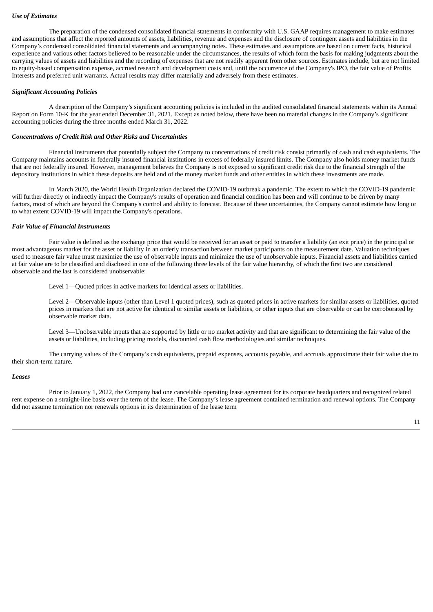#### *Use of Estimates*

The preparation of the condensed consolidated financial statements in conformity with U.S. GAAP requires management to make estimates and assumptions that affect the reported amounts of assets, liabilities, revenue and expenses and the disclosure of contingent assets and liabilities in the Company's condensed consolidated financial statements and accompanying notes. These estimates and assumptions are based on current facts, historical experience and various other factors believed to be reasonable under the circumstances, the results of which form the basis for making judgments about the carrying values of assets and liabilities and the recording of expenses that are not readily apparent from other sources. Estimates include, but are not limited to equity-based compensation expense, accrued research and development costs and, until the occurrence of the Company's IPO, the fair value of Profits Interests and preferred unit warrants. Actual results may differ materially and adversely from these estimates.

#### *Significant Accounting Policies*

A description of the Company's significant accounting policies is included in the audited consolidated financial statements within its Annual Report on Form 10-K for the year ended December 31, 2021. Except as noted below, there have been no material changes in the Company's significant accounting policies during the three months ended March 31, 2022.

#### *Concentrations of Credit Risk and Other Risks and Uncertainties*

Financial instruments that potentially subject the Company to concentrations of credit risk consist primarily of cash and cash equivalents. The Company maintains accounts in federally insured financial institutions in excess of federally insured limits. The Company also holds money market funds that are not federally insured. However, management believes the Company is not exposed to significant credit risk due to the financial strength of the depository institutions in which these deposits are held and of the money market funds and other entities in which these investments are made.

In March 2020, the World Health Organization declared the COVID-19 outbreak a pandemic. The extent to which the COVID-19 pandemic will further directly or indirectly impact the Company's results of operation and financial condition has been and will continue to be driven by many factors, most of which are beyond the Company's control and ability to forecast. Because of these uncertainties, the Company cannot estimate how long or to what extent COVID-19 will impact the Company's operations.

#### *Fair Value of Financial Instruments*

Fair value is defined as the exchange price that would be received for an asset or paid to transfer a liability (an exit price) in the principal or most advantageous market for the asset or liability in an orderly transaction between market participants on the measurement date. Valuation techniques used to measure fair value must maximize the use of observable inputs and minimize the use of unobservable inputs. Financial assets and liabilities carried at fair value are to be classified and disclosed in one of the following three levels of the fair value hierarchy, of which the first two are considered observable and the last is considered unobservable:

Level 1—Quoted prices in active markets for identical assets or liabilities.

Level 2—Observable inputs (other than Level 1 quoted prices), such as quoted prices in active markets for similar assets or liabilities, quoted prices in markets that are not active for identical or similar assets or liabilities, or other inputs that are observable or can be corroborated by observable market data.

Level 3—Unobservable inputs that are supported by little or no market activity and that are significant to determining the fair value of the assets or liabilities, including pricing models, discounted cash flow methodologies and similar techniques.

The carrying values of the Company's cash equivalents, prepaid expenses, accounts payable, and accruals approximate their fair value due to their short-term nature.

#### *Leases*

Prior to January 1, 2022, the Company had one cancelable operating lease agreement for its corporate headquarters and recognized related rent expense on a straight-line basis over the term of the lease. The Company's lease agreement contained termination and renewal options. The Company did not assume termination nor renewals options in its determination of the lease term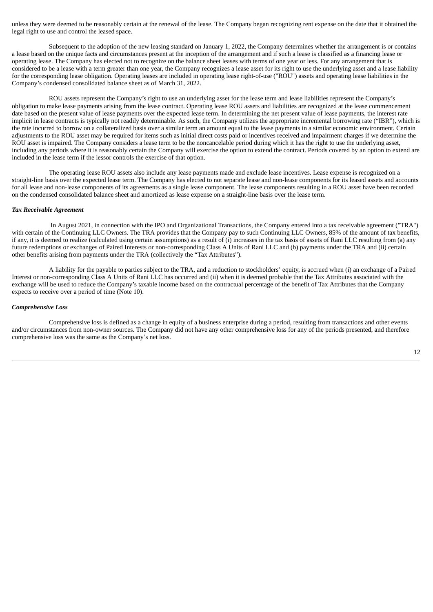unless they were deemed to be reasonably certain at the renewal of the lease. The Company began recognizing rent expense on the date that it obtained the legal right to use and control the leased space.

Subsequent to the adoption of the new leasing standard on January 1, 2022, the Company determines whether the arrangement is or contains a lease based on the unique facts and circumstances present at the inception of the arrangement and if such a lease is classified as a financing lease or operating lease. The Company has elected not to recognize on the balance sheet leases with terms of one year or less. For any arrangement that is considered to be a lease with a term greater than one year, the Company recognizes a lease asset for its right to use the underlying asset and a lease liability for the corresponding lease obligation. Operating leases are included in operating lease right-of-use ("ROU") assets and operating lease liabilities in the Company's condensed consolidated balance sheet as of March 31, 2022.

ROU assets represent the Company's right to use an underlying asset for the lease term and lease liabilities represent the Company's obligation to make lease payments arising from the lease contract. Operating lease ROU assets and liabilities are recognized at the lease commencement date based on the present value of lease payments over the expected lease term. In determining the net present value of lease payments, the interest rate implicit in lease contracts is typically not readily determinable. As such, the Company utilizes the appropriate incremental borrowing rate ("IBR"), which is the rate incurred to borrow on a collateralized basis over a similar term an amount equal to the lease payments in a similar economic environment. Certain adjustments to the ROU asset may be required for items such as initial direct costs paid or incentives received and impairment charges if we determine the ROU asset is impaired. The Company considers a lease term to be the noncancelable period during which it has the right to use the underlying asset, including any periods where it is reasonably certain the Company will exercise the option to extend the contract. Periods covered by an option to extend are included in the lease term if the lessor controls the exercise of that option.

The operating lease ROU assets also include any lease payments made and exclude lease incentives. Lease expense is recognized on a straight-line basis over the expected lease term. The Company has elected to not separate lease and non-lease components for its leased assets and accounts for all lease and non-lease components of its agreements as a single lease component. The lease components resulting in a ROU asset have been recorded on the condensed consolidated balance sheet and amortized as lease expense on a straight-line basis over the lease term.

#### *Tax Receivable Agreement*

In August 2021, in connection with the IPO and Organizational Transactions, the Company entered into a tax receivable agreement ("TRA") with certain of the Continuing LLC Owners. The TRA provides that the Company pay to such Continuing LLC Owners, 85% of the amount of tax benefits, if any, it is deemed to realize (calculated using certain assumptions) as a result of (i) increases in the tax basis of assets of Rani LLC resulting from (a) any future redemptions or exchanges of Paired Interests or non-corresponding Class A Units of Rani LLC and (b) payments under the TRA and (ii) certain other benefits arising from payments under the TRA (collectively the "Tax Attributes").

A liability for the payable to parties subject to the TRA, and a reduction to stockholders' equity, is accrued when (i) an exchange of a Paired Interest or non-corresponding Class A Units of Rani LLC has occurred and (ii) when it is deemed probable that the Tax Attributes associated with the exchange will be used to reduce the Company's taxable income based on the contractual percentage of the benefit of Tax Attributes that the Company expects to receive over a period of time (Note 10).

#### *Comprehensive Loss*

Comprehensive loss is defined as a change in equity of a business enterprise during a period, resulting from transactions and other events and/or circumstances from non-owner sources. The Company did not have any other comprehensive loss for any of the periods presented, and therefore comprehensive loss was the same as the Company's net loss.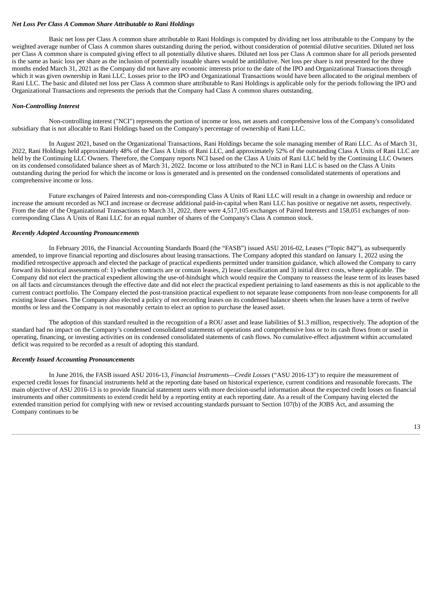#### *Net Loss Per Class A Common Share Attributable to Rani Holdings*

Basic net loss per Class A common share attributable to Rani Holdings is computed by dividing net loss attributable to the Company by the weighted average number of Class A common shares outstanding during the period, without consideration of potential dilutive securities. Diluted net loss per Class A common share is computed giving effect to all potentially dilutive shares. Diluted net loss per Class A common share for all periods presented is the same as basic loss per share as the inclusion of potentially issuable shares would be antidilutive. Net loss per share is not presented for the three months ended March 31, 2021 as the Company did not have any economic interests prior to the date of the IPO and Organizational Transactions through which it was given ownership in Rani LLC. Losses prior to the IPO and Organizational Transactions would have been allocated to the original members of Rani LLC. The basic and diluted net loss per Class A common share attributable to Rani Holdings is applicable only for the periods following the IPO and Organizational Transactions and represents the periods that the Company had Class A common shares outstanding.

#### *Non-Controlling Interest*

Non-controlling interest ("NCI") represents the portion of income or loss, net assets and comprehensive loss of the Company's consolidated subsidiary that is not allocable to Rani Holdings based on the Company's percentage of ownership of Rani LLC.

In August 2021, based on the Organizational Transactions, Rani Holdings became the sole managing member of Rani LLC. As of March 31, 2022, Rani Holdings held approximately 48% of the Class A Units of Rani LLC, and approximately 52% of the outstanding Class A Units of Rani LLC are held by the Continuing LLC Owners. Therefore, the Company reports NCI based on the Class A Units of Rani LLC held by the Continuing LLC Owners on its condensed consolidated balance sheet as of March 31, 2022. Income or loss attributed to the NCI in Rani LLC is based on the Class A Units outstanding during the period for which the income or loss is generated and is presented on the condensed consolidated statements of operations and comprehensive income or loss.

Future exchanges of Paired Interests and non-corresponding Class A Units of Rani LLC will result in a change in ownership and reduce or increase the amount recorded as NCI and increase or decrease additional paid-in-capital when Rani LLC has positive or negative net assets, respectively. From the date of the Organizational Transactions to March 31, 2022, there were 4,517,105 exchanges of Paired Interests and 158,051 exchanges of noncorresponding Class A Units of Rani LLC for an equal number of shares of the Company's Class A common stock.

#### *Recently Adopted Accounting Pronouncements*

In February 2016, the Financial Accounting Standards Board (the "FASB") issued ASU 2016-02, Leases ("Topic 842"), as subsequently amended, to improve financial reporting and disclosures about leasing transactions. The Company adopted this standard on January 1, 2022 using the modified retrospective approach and elected the package of practical expedients permitted under transition guidance, which allowed the Company to carry forward its historical assessments of: 1) whether contracts are or contain leases, 2) lease classification and 3) initial direct costs, where applicable. The Company did not elect the practical expedient allowing the use-of-hindsight which would require the Company to reassess the lease term of its leases based on all facts and circumstances through the effective date and did not elect the practical expedient pertaining to land easements as this is not applicable to the current contract portfolio. The Company elected the post-transition practical expedient to not separate lease components from non-lease components for all existing lease classes. The Company also elected a policy of not recording leases on its condensed balance sheets when the leases have a term of twelve months or less and the Company is not reasonably certain to elect an option to purchase the leased asset.

The adoption of this standard resulted in the recognition of a ROU asset and lease liabilities of \$1.3 million, respectively. The adoption of the standard had no impact on the Company's condensed consolidated statements of operations and comprehensive loss or to its cash flows from or used in operating, financing, or investing activities on its condensed consolidated statements of cash flows. No cumulative-effect adjustment within accumulated deficit was required to be recorded as a result of adopting this standard.

#### *Recently Issued Accounting Pronouncements*

In June 2016, the FASB issued ASU 2016-13, *Financial Instruments—Credit Losses* ("ASU 2016-13") to require the measurement of expected credit losses for financial instruments held at the reporting date based on historical experience, current conditions and reasonable forecasts. The main objective of ASU 2016-13 is to provide financial statement users with more decision-useful information about the expected credit losses on financial instruments and other commitments to extend credit held by a reporting entity at each reporting date. As a result of the Company having elected the extended transition period for complying with new or revised accounting standards pursuant to Section 107(b) of the JOBS Act, and assuming the Company continues to be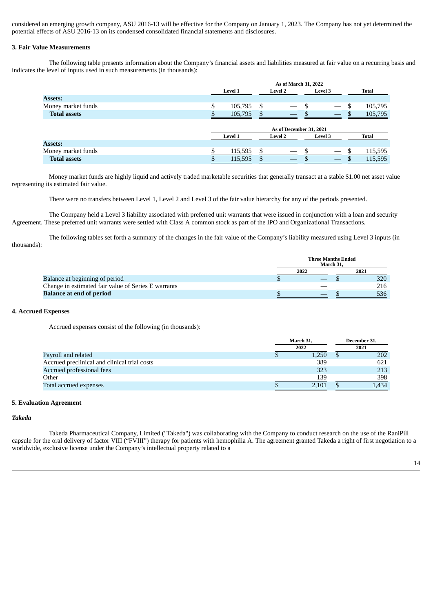considered an emerging growth company, ASU 2016-13 will be effective for the Company on January 1, 2023. The Company has not yet determined the potential effects of ASU 2016-13 on its condensed consolidated financial statements and disclosures.

#### **3. Fair Value Measurements**

The following table presents information about the Company's financial assets and liabilities measured at fair value on a recurring basis and indicates the level of inputs used in such measurements (in thousands):

|                     | As of March 31, 2022                 |         |   |                                |              |         |    |              |
|---------------------|--------------------------------------|---------|---|--------------------------------|--------------|---------|----|--------------|
|                     |                                      | Level 1 |   | <b>Level 2</b>                 |              | Level 3 |    | <b>Total</b> |
| <b>Assets:</b>      |                                      |         |   |                                |              |         |    |              |
| Money market funds  |                                      | 105,795 |   |                                |              |         | S  | 105,795      |
| <b>Total assets</b> |                                      | 105,795 |   |                                |              |         | ۰D | 105,795      |
|                     |                                      |         |   |                                |              |         |    |              |
|                     |                                      |         |   | As of December 31, 2021        |              |         |    |              |
|                     | Level 1<br><b>Level 2</b><br>Level 3 |         |   |                                | <b>Total</b> |         |    |              |
| <b>Assets:</b>      |                                      |         |   |                                |              |         |    |              |
| Money market funds  | c                                    | 115,595 | S | $\overbrace{\hspace{25mm}}^{}$ |              |         | -S | 115,595      |
| <b>Total assets</b> |                                      | 115,595 |   |                                |              |         |    | 115,595      |

Money market funds are highly liquid and actively traded marketable securities that generally transact at a stable \$1.00 net asset value representing its estimated fair value.

There were no transfers between Level 1, Level 2 and Level 3 of the fair value hierarchy for any of the periods presented.

The Company held a Level 3 liability associated with preferred unit warrants that were issued in conjunction with a loan and security Agreement. These preferred unit warrants were settled with Class A common stock as part of the IPO and Organizational Transactions.

The following tables set forth a summary of the changes in the fair value of the Company's liability measured using Level 3 inputs (in thousands):

|                                                     | <b>Three Months Ended</b><br>March 31, |  |      |  |
|-----------------------------------------------------|----------------------------------------|--|------|--|
|                                                     | 2022                                   |  | 2021 |  |
| Balance at beginning of period                      |                                        |  | 320  |  |
| Change in estimated fair value of Series E warrants |                                        |  | 216  |  |
| <b>Balance at end of period</b>                     |                                        |  | 536  |  |

#### **4. Accrued Expenses**

Accrued expenses consist of the following (in thousands):

|                                              | March 31. |       | December 31, |
|----------------------------------------------|-----------|-------|--------------|
|                                              |           | 2022  | 2021         |
| Payroll and related                          |           | 1,250 | 202          |
| Accrued preclinical and clinical trial costs |           | 389   | 621          |
| Accrued professional fees                    |           | 323   | 213          |
| Other                                        |           | 139   | 398          |
| Total accrued expenses                       |           | 2,101 | 1.434        |

#### **5. Evaluation Agreement**

#### *Takeda*

Takeda Pharmaceutical Company, Limited ("Takeda") was collaborating with the Company to conduct research on the use of the RaniPill capsule for the oral delivery of factor VIII ("FVIII") therapy for patients with hemophilia A. The agreement granted Takeda a right of first negotiation to a worldwide, exclusive license under the Company's intellectual property related to a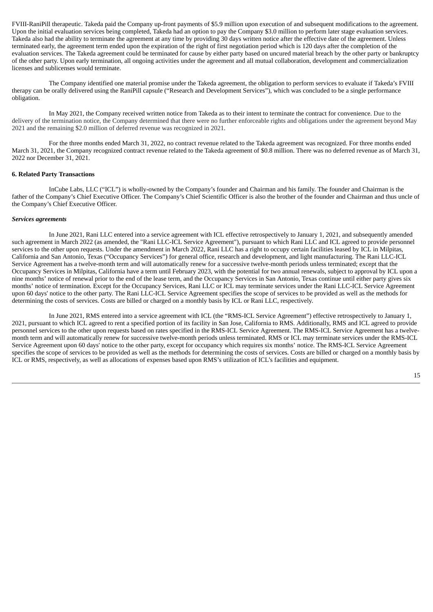FVIII-RaniPill therapeutic. Takeda paid the Company up-front payments of \$5.9 million upon execution of and subsequent modifications to the agreement. Upon the initial evaluation services being completed, Takeda had an option to pay the Company \$3.0 million to perform later stage evaluation services. Takeda also had the ability to terminate the agreement at any time by providing 30 days written notice after the effective date of the agreement. Unless terminated early, the agreement term ended upon the expiration of the right of first negotiation period which is 120 days after the completion of the evaluation services. The Takeda agreement could be terminated for cause by either party based on uncured material breach by the other party or bankruptcy of the other party. Upon early termination, all ongoing activities under the agreement and all mutual collaboration, development and commercialization licenses and sublicenses would terminate.

The Company identified one material promise under the Takeda agreement, the obligation to perform services to evaluate if Takeda's FVIII therapy can be orally delivered using the RaniPill capsule ("Research and Development Services"), which was concluded to be a single performance obligation.

In May 2021, the Company received written notice from Takeda as to their intent to terminate the contract for convenience. Due to the delivery of the termination notice, the Company determined that there were no further enforceable rights and obligations under the agreement beyond May 2021 and the remaining \$2.0 million of deferred revenue was recognized in 2021.

For the three months ended March 31, 2022, no contract revenue related to the Takeda agreement was recognized. For three months ended March 31, 2021, the Company recognized contract revenue related to the Takeda agreement of \$0.8 million. There was no deferred revenue as of March 31, 2022 nor December 31, 2021.

#### **6. Related Party Transactions**

InCube Labs, LLC ("ICL") is wholly-owned by the Company's founder and Chairman and his family. The founder and Chairman is the father of the Company's Chief Executive Officer. The Company's Chief Scientific Officer is also the brother of the founder and Chairman and thus uncle of the Company's Chief Executive Officer.

#### *Services agreements*

In June 2021, Rani LLC entered into a service agreement with ICL effective retrospectively to January 1, 2021, and subsequently amended such agreement in March 2022 (as amended, the "Rani LLC-ICL Service Agreement"), pursuant to which Rani LLC and ICL agreed to provide personnel services to the other upon requests. Under the amendment in March 2022, Rani LLC has a right to occupy certain facilities leased by ICL in Milpitas, California and San Antonio, Texas ("Occupancy Services") for general office, research and development, and light manufacturing. The Rani LLC-ICL Service Agreement has a twelve-month term and will automatically renew for a successive twelve-month periods unless terminated; except that the Occupancy Services in Milpitas, California have a term until February 2023, with the potential for two annual renewals, subject to approval by ICL upon a nine months' notice of renewal prior to the end of the lease term, and the Occupancy Services in San Antonio, Texas continue until either party gives six months' notice of termination. Except for the Occupancy Services, Rani LLC or ICL may terminate services under the Rani LLC-ICL Service Agreement upon 60 days' notice to the other party. The Rani LLC-ICL Service Agreement specifies the scope of services to be provided as well as the methods for determining the costs of services. Costs are billed or charged on a monthly basis by ICL or Rani LLC, respectively.

In June 2021, RMS entered into a service agreement with ICL (the "RMS-ICL Service Agreement") effective retrospectively to January 1, 2021, pursuant to which ICL agreed to rent a specified portion of its facility in San Jose, California to RMS. Additionally, RMS and ICL agreed to provide personnel services to the other upon requests based on rates specified in the RMS-ICL Service Agreement. The RMS-ICL Service Agreement has a twelvemonth term and will automatically renew for successive twelve-month periods unless terminated. RMS or ICL may terminate services under the RMS-ICL Service Agreement upon 60 days' notice to the other party, except for occupancy which requires six months' notice. The RMS-ICL Service Agreement specifies the scope of services to be provided as well as the methods for determining the costs of services. Costs are billed or charged on a monthly basis by ICL or RMS, respectively, as well as allocations of expenses based upon RMS's utilization of ICL's facilities and equipment.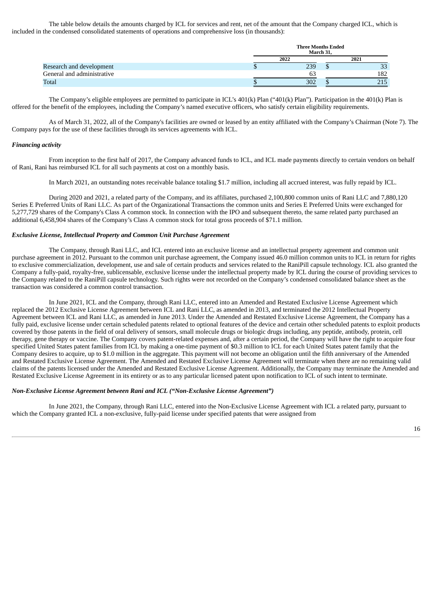The table below details the amounts charged by ICL for services and rent, net of the amount that the Company charged ICL, which is included in the condensed consolidated statements of operations and comprehensive loss (in thousands):

|                            | <b>Three Months Ended</b><br>March 31, |  |      |  |  |
|----------------------------|----------------------------------------|--|------|--|--|
|                            | 2022                                   |  | 2021 |  |  |
| Research and development   | 239                                    |  | 33   |  |  |
| General and administrative | 63                                     |  | 182  |  |  |
| Total                      | 302                                    |  | 215  |  |  |

The Company's eligible employees are permitted to participate in ICL's 401(k) Plan ("401(k) Plan"). Participation in the 401(k) Plan is offered for the benefit of the employees, including the Company's named executive officers, who satisfy certain eligibility requirements.

As of March 31, 2022, all of the Company's facilities are owned or leased by an entity affiliated with the Company's Chairman (Note 7). The Company pays for the use of these facilities through its services agreements with ICL.

#### *Financing activity*

From inception to the first half of 2017, the Company advanced funds to ICL, and ICL made payments directly to certain vendors on behalf of Rani, Rani has reimbursed ICL for all such payments at cost on a monthly basis.

In March 2021, an outstanding notes receivable balance totaling \$1.7 million, including all accrued interest, was fully repaid by ICL.

During 2020 and 2021, a related party of the Company, and its affiliates, purchased 2,100,800 common units of Rani LLC and 7,880,120 Series E Preferred Units of Rani LLC. As part of the Organizational Transactions the common units and Series E Preferred Units were exchanged for 5,277,729 shares of the Company's Class A common stock. In connection with the IPO and subsequent thereto, the same related party purchased an additional 6,458,904 shares of the Company's Class A common stock for total gross proceeds of \$71.1 million.

#### *Exclusive License, Intellectual Property and Common Unit Purchase Agreement*

The Company, through Rani LLC, and ICL entered into an exclusive license and an intellectual property agreement and common unit purchase agreement in 2012. Pursuant to the common unit purchase agreement, the Company issued 46.0 million common units to ICL in return for rights to exclusive commercialization, development, use and sale of certain products and services related to the RaniPill capsule technology. ICL also granted the Company a fully-paid, royalty-free, sublicensable, exclusive license under the intellectual property made by ICL during the course of providing services to the Company related to the RaniPill capsule technology. Such rights were not recorded on the Company's condensed consolidated balance sheet as the transaction was considered a common control transaction.

In June 2021, ICL and the Company, through Rani LLC, entered into an Amended and Restated Exclusive License Agreement which replaced the 2012 Exclusive License Agreement between ICL and Rani LLC, as amended in 2013, and terminated the 2012 Intellectual Property Agreement between ICL and Rani LLC, as amended in June 2013. Under the Amended and Restated Exclusive License Agreement, the Company has a fully paid, exclusive license under certain scheduled patents related to optional features of the device and certain other scheduled patents to exploit products covered by those patents in the field of oral delivery of sensors, small molecule drugs or biologic drugs including, any peptide, antibody, protein, cell therapy, gene therapy or vaccine. The Company covers patent-related expenses and, after a certain period, the Company will have the right to acquire four specified United States patent families from ICL by making a one-time payment of \$0.3 million to ICL for each United States patent family that the Company desires to acquire, up to \$1.0 million in the aggregate. This payment will not become an obligation until the fifth anniversary of the Amended and Restated Exclusive License Agreement. The Amended and Restated Exclusive License Agreement will terminate when there are no remaining valid claims of the patents licensed under the Amended and Restated Exclusive License Agreement. Additionally, the Company may terminate the Amended and Restated Exclusive License Agreement in its entirety or as to any particular licensed patent upon notification to ICL of such intent to terminate.

#### *Non-Exclusive License Agreement between Rani and ICL ("Non-Exclusive License Agreement")*

In June 2021, the Company, through Rani LLC, entered into the Non-Exclusive License Agreement with ICL a related party, pursuant to which the Company granted ICL a non-exclusive, fully-paid license under specified patents that were assigned from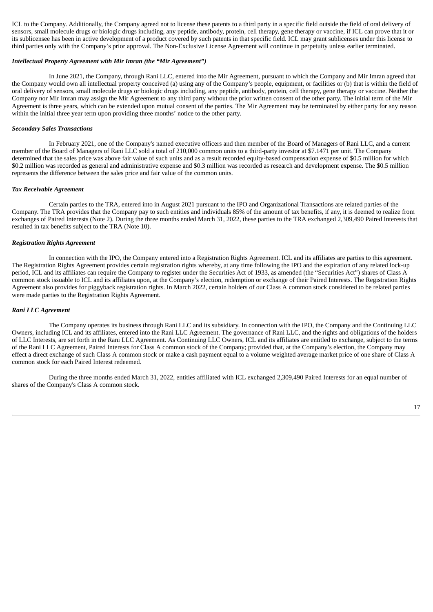ICL to the Company. Additionally, the Company agreed not to license these patents to a third party in a specific field outside the field of oral delivery of sensors, small molecule drugs or biologic drugs including, any peptide, antibody, protein, cell therapy, gene therapy or vaccine, if ICL can prove that it or its sublicensee has been in active development of a product covered by such patents in that specific field. ICL may grant sublicenses under this license to third parties only with the Company's prior approval. The Non-Exclusive License Agreement will continue in perpetuity unless earlier terminated.

#### *Intellectual Property Agreement with Mir Imran (the "Mir Agreement")*

In June 2021, the Company, through Rani LLC, entered into the Mir Agreement, pursuant to which the Company and Mir Imran agreed that the Company would own all intellectual property conceived (a) using any of the Company's people, equipment, or facilities or (b) that is within the field of oral delivery of sensors, small molecule drugs or biologic drugs including, any peptide, antibody, protein, cell therapy, gene therapy or vaccine. Neither the Company nor Mir Imran may assign the Mir Agreement to any third party without the prior written consent of the other party. The initial term of the Mir Agreement is three years, which can be extended upon mutual consent of the parties. The Mir Agreement may be terminated by either party for any reason within the initial three year term upon providing three months' notice to the other party.

#### *Secondary Sales Transactions*

In February 2021, one of the Company's named executive officers and then member of the Board of Managers of Rani LLC, and a current member of the Board of Managers of Rani LLC sold a total of 210,000 common units to a third-party investor at \$7.1471 per unit. The Company determined that the sales price was above fair value of such units and as a result recorded equity-based compensation expense of \$0.5 million for which \$0.2 million was recorded as general and administrative expense and \$0.3 million was recorded as research and development expense. The \$0.5 million represents the difference between the sales price and fair value of the common units.

#### *Tax Receivable Agreement*

Certain parties to the TRA, entered into in August 2021 pursuant to the IPO and Organizational Transactions are related parties of the Company. The TRA provides that the Company pay to such entities and individuals 85% of the amount of tax benefits, if any, it is deemed to realize from exchanges of Paired Interests (Note 2). During the three months ended March 31, 2022, these parties to the TRA exchanged 2,309,490 Paired Interests that resulted in tax benefits subject to the TRA (Note 10).

#### *Registration Rights Agreement*

In connection with the IPO, the Company entered into a Registration Rights Agreement. ICL and its affiliates are parties to this agreement. The Registration Rights Agreement provides certain registration rights whereby, at any time following the IPO and the expiration of any related lock-up period, ICL and its affiliates can require the Company to register under the Securities Act of 1933, as amended (the "Securities Act") shares of Class A common stock issuable to ICL and its affiliates upon, at the Company's election, redemption or exchange of their Paired Interests. The Registration Rights Agreement also provides for piggyback registration rights. In March 2022, certain holders of our Class A common stock considered to be related parties were made parties to the Registration Rights Agreement.

#### *Rani LLC Agreement*

The Company operates its business through Rani LLC and its subsidiary. In connection with the IPO, the Company and the Continuing LLC Owners, including ICL and its affiliates, entered into the Rani LLC Agreement. The governance of Rani LLC, and the rights and obligations of the holders of LLC Interests, are set forth in the Rani LLC Agreement. As Continuing LLC Owners, ICL and its affiliates are entitled to exchange, subject to the terms of the Rani LLC Agreement, Paired Interests for Class A common stock of the Company; provided that, at the Company's election, the Company may effect a direct exchange of such Class A common stock or make a cash payment equal to a volume weighted average market price of one share of Class A common stock for each Paired Interest redeemed.

During the three months ended March 31, 2022, entities affiliated with ICL exchanged 2,309,490 Paired Interests for an equal number of shares of the Company's Class A common stock.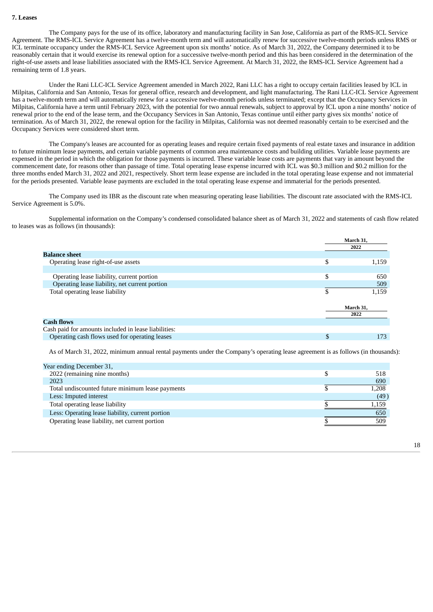#### **7. Leases**

The Company pays for the use of its office, laboratory and manufacturing facility in San Jose, California as part of the RMS-ICL Service Agreement. The RMS-ICL Service Agreement has a twelve-month term and will automatically renew for successive twelve-month periods unless RMS or ICL terminate occupancy under the RMS-ICL Service Agreement upon six months' notice. As of March 31, 2022, the Company determined it to be reasonably certain that it would exercise its renewal option for a successive twelve-month period and this has been considered in the determination of the right-of-use assets and lease liabilities associated with the RMS-ICL Service Agreement. At March 31, 2022, the RMS-ICL Service Agreement had a remaining term of 1.8 years.

Under the Rani LLC-ICL Service Agreement amended in March 2022, Rani LLC has a right to occupy certain facilities leased by ICL in Milpitas, California and San Antonio, Texas for general office, research and development, and light manufacturing. The Rani LLC-ICL Service Agreement has a twelve-month term and will automatically renew for a successive twelve-month periods unless terminated; except that the Occupancy Services in Milpitas, California have a term until February 2023, with the potential for two annual renewals, subject to approval by ICL upon a nine months' notice of renewal prior to the end of the lease term, and the Occupancy Services in San Antonio, Texas continue until either party gives six months' notice of termination. As of March 31, 2022, the renewal option for the facility in Milpitas, California was not deemed reasonably certain to be exercised and the Occupancy Services were considered short term.

The Company's leases are accounted for as operating leases and require certain fixed payments of real estate taxes and insurance in addition to future minimum lease payments, and certain variable payments of common area maintenance costs and building utilities. Variable lease payments are expensed in the period in which the obligation for those payments is incurred. These variable lease costs are payments that vary in amount beyond the commencement date, for reasons other than passage of time. Total operating lease expense incurred with ICL was \$0.3 million and \$0.2 million for the three months ended March 31, 2022 and 2021, respectively. Short term lease expense are included in the total operating lease expense and not immaterial for the periods presented. Variable lease payments are excluded in the total operating lease expense and immaterial for the periods presented.

The Company used its IBR as the discount rate when measuring operating lease liabilities. The discount rate associated with the RMS-ICL Service Agreement is 5.0%.

Supplemental information on the Company's condensed consolidated balance sheet as of March 31, 2022 and statements of cash flow related to leases was as follows (in thousands):

|                                                      |    | March 31. |
|------------------------------------------------------|----|-----------|
|                                                      |    | 2022      |
| <b>Balance sheet</b>                                 |    |           |
| Operating lease right-of-use assets                  | S  | 1,159     |
|                                                      |    |           |
| Operating lease liability, current portion           | \$ | 650       |
| Operating lease liability, net current portion       |    | 509       |
| Total operating lease liability                      |    | 1,159     |
|                                                      |    | March 31. |
|                                                      |    | 2022      |
| <b>Cash flows</b>                                    |    |           |
| Cash paid for amounts included in lease liabilities: |    |           |
| Operating cash flows used for operating leases       |    | 173       |

As of March 31, 2022, minimum annual rental payments under the Company's operating lease agreement is as follows (in thousands):

| Year ending December 31,                         |       |
|--------------------------------------------------|-------|
| 2022 (remaining nine months)                     | 518   |
| 2023                                             | 690   |
| Total undiscounted future minimum lease payments | 1,208 |
| Less: Imputed interest                           | (49)  |
| Total operating lease liability                  | 1,159 |
| Less: Operating lease liability, current portion | 650   |
| Operating lease liability, net current portion   | 509   |
|                                                  |       |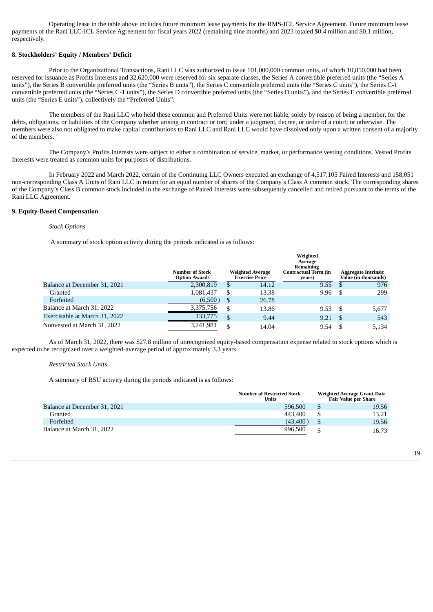Operating lease in the table above includes future minimum lease payments for the RMS-ICL Service Agreement. Future minimum lease payments of the Rani LLC-ICL Service Agreement for fiscal years 2022 (remaining nine months) and 2023 totaled \$0.4 million and \$0.1 million, respectively.

#### **8. Stockholders' Equity / Members' Deficit**

Prior to the Organizational Transactions, Rani LLC was authorized to issue 101,000,000 common units, of which 10,850,000 had been reserved for issuance as Profits Interests and 32,620,000 were reserved for six separate classes, the Series A convertible preferred units (the "Series A units"), the Series B convertible preferred units (the "Series B units"), the Series C convertible preferred units (the "Series C units"), the Series C-1 convertible preferred units (the "Series C-1 units"), the Series D convertible preferred units (the "Series D units"), and the Series E convertible preferred units (the "Series E units"), collectively the "Preferred Units".

The members of the Rani LLC who held these common and Preferred Units were not liable, solely by reason of being a member, for the debts, obligations, or liabilities of the Company whether arising in contract or tort; under a judgment, decree, or order of a court; or otherwise. The members were also not obligated to make capital contributions to Rani LLC and Rani LLC would have dissolved only upon a written consent of a majority of the members.

The Company's Profits Interests were subject to either a combination of service, market, or performance vesting conditions. Vested Profits Interests were treated as common units for purposes of distributions.

In February 2022 and March 2022, certain of the Continuing LLC Owners executed an exchange of 4,517,105 Paired Interests and 158,051 non-corresponding Class A Units of Rani LLC in return for an equal number of shares of the Company's Class A common stock. The corresponding shares of the Company's Class B common stock included in the exchange of Paired Interests were subsequently cancelled and retired pursuant to the terms of the Rani LLC Agreement.

#### **9. Equity-Based Compensation**

#### *Stock Options*

A summary of stock option activity during the periods indicated is as follows:

|                               | <b>Number of Stock</b><br><b>Option Awards</b> |               | <b>Weighted Average</b><br><b>Exercise Price</b> | Weighted<br>Average<br><b>Remaining</b><br><b>Contractual Term (in</b><br>years) |    | <b>Aggregate Intrinsic</b><br>Value (in thousands) |
|-------------------------------|------------------------------------------------|---------------|--------------------------------------------------|----------------------------------------------------------------------------------|----|----------------------------------------------------|
| Balance at December 31, 2021  | 2,300,819                                      | \$            | 14.12                                            | 9.55                                                                             | S  | 976                                                |
| Granted                       | 1,081,437                                      | \$            | 13.38                                            | 9.96                                                                             | -S | 299                                                |
| Forfeited                     | (6,500)                                        | \$            | 26.78                                            |                                                                                  |    |                                                    |
| Balance at March 31, 2022     | 3,375,756                                      | \$            | 13.86                                            | 9.53 <sup>5</sup>                                                                |    | 5,677                                              |
| Exercisable at March 31, 2022 | 133,775                                        | $\mathsf{\$}$ | 9.44                                             | 9.21                                                                             | -S | 543                                                |
| Nonvested at March 31, 2022   | 3,241,981                                      | \$            | 14.04                                            | 9.54                                                                             |    | 5,134                                              |

As of March 31, 2022, there was \$27.8 million of unrecognized equity-based compensation expense related to stock options which is expected to be recognized over a weighted-average period of approximately 3.3 years.

*Restricted Stock Units*

A summary of RSU activity during the periods indicated is as follows:

|                              | <b>Number of Restricted Stock</b><br><b>Units</b> |    | Weighted Average Grant-Date<br><b>Fair Value per Share</b> |
|------------------------------|---------------------------------------------------|----|------------------------------------------------------------|
| Balance at December 31, 2021 | 596,500                                           | \$ | 19.56                                                      |
| Granted                      | 443,400                                           | S  | 13.21                                                      |
| Forfeited                    | (43, 400)                                         | \$ | 19.56                                                      |
| Balance at March 31, 2022    | 996,500                                           |    | 16.73                                                      |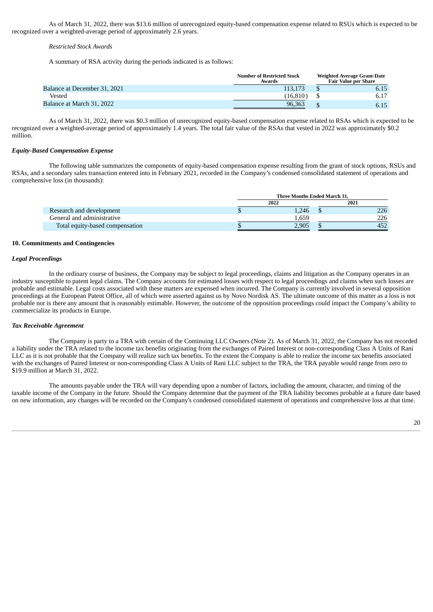As of March 31, 2022, there was \$13.6 million of unrecognized equity-based compensation expense related to RSUs which is expected to be recognized over a weighted-average period of approximately 2.6 years.

#### *Restricted Stock Awards*

A summary of RSA activity during the periods indicated is as follows:

|                              | <b>Number of Restricted Stock</b><br>Awards | <b>Weighted Average Grant-Date</b><br>Fair Value per Share |
|------------------------------|---------------------------------------------|------------------------------------------------------------|
| Balance at December 31, 2021 | 113.173                                     | 6.15                                                       |
| Vested                       | (16.810)                                    | 6.17                                                       |
| Balance at March 31, 2022    | 96,363                                      | 6.15                                                       |

As of March 31, 2022, there was \$0.3 million of unrecognized equity-based compensation expense related to RSAs which is expected to be recognized over a weighted-average period of approximately 1.4 years. The total fair value of the RSAs that vested in 2022 was approximately \$0.2 million.

#### *Equity-Based Compensation Expense*

The following table summarizes the components of equity-based compensation expense resulting from the grant of stock options, RSUs and RSAs, and a secondary sales transaction entered into in February 2021, recorded in the Company's condensed consolidated statement of operations and comprehensive loss (in thousands):

|                                 | <b>Three Months Ended March 31.</b> |  |      |  |
|---------------------------------|-------------------------------------|--|------|--|
|                                 | 2022                                |  | 2021 |  |
| Research and development        | 1.246                               |  | 226  |  |
| General and administrative      | 1,659                               |  | 226  |  |
| Total equity-based compensation | 2.905                               |  | 452  |  |

#### **10. Commitments and Contingencies**

#### *Legal Proceedings*

In the ordinary course of business, the Company may be subject to legal proceedings, claims and litigation as the Company operates in an industry susceptible to patent legal claims. The Company accounts for estimated losses with respect to legal proceedings and claims when such losses are probable and estimable. Legal costs associated with these matters are expensed when incurred. The Company is currently involved in several opposition proceedings at the European Patent Office, all of which were asserted against us by Novo Nordisk AS. The ultimate outcome of this matter as a loss is not probable nor is there any amount that is reasonably estimable. However, the outcome of the opposition proceedings could impact the Company's ability to commercialize its products in Europe.

#### *Tax Receivable Agreement*

The Company is party to a TRA with certain of the Continuing LLC Owners (Note 2). As of March 31, 2022, the Company has not recorded a liability under the TRA related to the income tax benefits originating from the exchanges of Paired Interest or non-corresponding Class A Units of Rani LLC as it is not probable that the Company will realize such tax benefits. To the extent the Company is able to realize the income tax benefits associated with the exchanges of Paired Interest or non-corresponding Class A Units of Rani LLC subject to the TRA, the TRA payable would range from zero to \$19.9 million at March 31, 2022.

The amounts payable under the TRA will vary depending upon a number of factors, including the amount, character, and timing of the taxable income of the Company in the future. Should the Company determine that the payment of the TRA liability becomes probable at a future date based on new information, any changes will be recorded on the Company's condensed consolidated statement of operations and comprehensive loss at that time.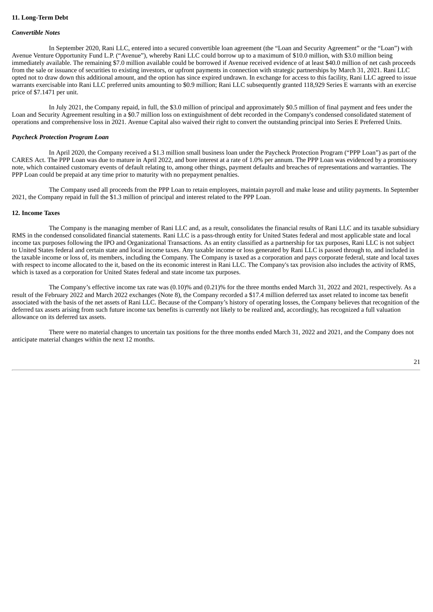#### *Convertible Notes*

In September 2020, Rani LLC, entered into a secured convertible loan agreement (the "Loan and Security Agreement" or the "Loan") with Avenue Venture Opportunity Fund L.P. ("Avenue"), whereby Rani LLC could borrow up to a maximum of \$10.0 million, with \$3.0 million being immediately available. The remaining \$7.0 million available could be borrowed if Avenue received evidence of at least \$40.0 million of net cash proceeds from the sale or issuance of securities to existing investors, or upfront payments in connection with strategic partnerships by March 31, 2021. Rani LLC opted not to draw down this additional amount, and the option has since expired undrawn. In exchange for access to this facility, Rani LLC agreed to issue warrants exercisable into Rani LLC preferred units amounting to \$0.9 million; Rani LLC subsequently granted 118,929 Series E warrants with an exercise price of \$7.1471 per unit.

In July 2021, the Company repaid, in full, the \$3.0 million of principal and approximately \$0.5 million of final payment and fees under the Loan and Security Agreement resulting in a \$0.7 million loss on extinguishment of debt recorded in the Company's condensed consolidated statement of operations and comprehensive loss in 2021. Avenue Capital also waived their right to convert the outstanding principal into Series E Preferred Units.

#### *Paycheck Protection Program Loan*

In April 2020, the Company received a \$1.3 million small business loan under the Paycheck Protection Program ("PPP Loan") as part of the CARES Act. The PPP Loan was due to mature in April 2022, and bore interest at a rate of 1.0% per annum. The PPP Loan was evidenced by a promissory note, which contained customary events of default relating to, among other things, payment defaults and breaches of representations and warranties. The PPP Loan could be prepaid at any time prior to maturity with no prepayment penalties.

The Company used all proceeds from the PPP Loan to retain employees, maintain payroll and make lease and utility payments. In September 2021, the Company repaid in full the \$1.3 million of principal and interest related to the PPP Loan.

#### **12. Income Taxes**

The Company is the managing member of Rani LLC and, as a result, consolidates the financial results of Rani LLC and its taxable subsidiary RMS in the condensed consolidated financial statements. Rani LLC is a pass-through entity for United States federal and most applicable state and local income tax purposes following the IPO and Organizational Transactions. As an entity classified as a partnership for tax purposes, Rani LLC is not subject to United States federal and certain state and local income taxes. Any taxable income or loss generated by Rani LLC is passed through to, and included in the taxable income or loss of, its members, including the Company. The Company is taxed as a corporation and pays corporate federal, state and local taxes with respect to income allocated to the it, based on the its economic interest in Rani LLC. The Company's tax provision also includes the activity of RMS, which is taxed as a corporation for United States federal and state income tax purposes.

The Company's effective income tax rate was (0.10)% and (0.21)% for the three months ended March 31, 2022 and 2021, respectively. As a result of the February 2022 and March 2022 exchanges (Note 8), the Company recorded a \$17.4 million deferred tax asset related to income tax benefit associated with the basis of the net assets of Rani LLC. Because of the Company's history of operating losses, the Company believes that recognition of the deferred tax assets arising from such future income tax benefits is currently not likely to be realized and, accordingly, has recognized a full valuation allowance on its deferred tax assets.

There were no material changes to uncertain tax positions for the three months ended March 31, 2022 and 2021, and the Company does not anticipate material changes within the next 12 months.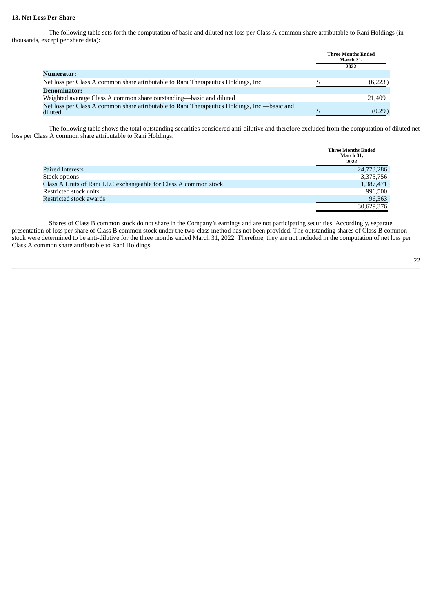#### **13. Net Loss Per Share**

The following table sets forth the computation of basic and diluted net loss per Class A common share attributable to Rani Holdings (in thousands, except per share data):

|                                                                                                         | <b>Three Months Ended</b><br>March 31,<br>2022 |
|---------------------------------------------------------------------------------------------------------|------------------------------------------------|
| <b>Numerator:</b>                                                                                       |                                                |
| Net loss per Class A common share attributable to Rani Therapeutics Holdings, Inc.                      | (6,223)                                        |
| <b>Denominator:</b>                                                                                     |                                                |
| Weighted average Class A common share outstanding—basic and diluted                                     | 21,409                                         |
| Net loss per Class A common share attributable to Rani Therapeutics Holdings, Inc.—basic and<br>diluted | (0.29)                                         |

The following table shows the total outstanding securities considered anti-dilutive and therefore excluded from the computation of diluted net loss per Class A common share attributable to Rani Holdings:

|                                                                 | <b>Three Months Ended</b><br>March 31, |
|-----------------------------------------------------------------|----------------------------------------|
|                                                                 | 2022                                   |
| <b>Paired Interests</b>                                         | 24,773,286                             |
| Stock options                                                   | 3,375,756                              |
| Class A Units of Rani LLC exchangeable for Class A common stock | 1,387,471                              |
| Restricted stock units                                          | 996.500                                |
| Restricted stock awards                                         | 96,363                                 |
|                                                                 | 30,629,376                             |

Shares of Class B common stock do not share in the Company's earnings and are not participating securities. Accordingly, separate presentation of loss per share of Class B common stock under the two-class method has not been provided. The outstanding shares of Class B common stock were determined to be anti-dilutive for the three months ended March 31, 2022. Therefore, they are not included in the computation of net loss per Class A common share attributable to Rani Holdings.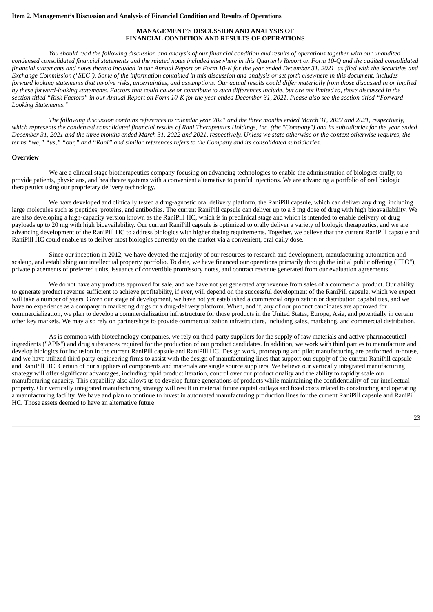#### <span id="page-22-0"></span>**Item 2. Management's Discussion and Analysis of Financial Condition and Results of Operations**

#### **MANAGEMENT'S DISCUSSION AND ANALYSIS OF FINANCIAL CONDITION AND RESULTS OF OPERATIONS**

You should read the following discussion and analysis of our financial condition and results of operations together with our unaudited condensed consolidated financial statements and the related notes included elsewhere in this Quarterly Report on Form 10-Q and the audited consolidated financial statements and notes thereto included in our Annual Report on Form 10-K for the year ended December 31, 2021, as filed with the Securities and Exchange Commission ("SEC"). Some of the information contained in this discussion and analysis or set forth elsewhere in this document, includes forward looking statements that involve risks, uncertainties, and assumptions. Our actual results could differ materially from those discussed in or implied by these forward-looking statements. Factors that could cause or contribute to such differences include, but are not limited to, those discussed in the section titled "Risk Factors" in our Annual Report on Form 10-K for the year ended December 31, 2021. Please also see the section titled "Forward *Looking Statements."*

The following discussion contains references to calendar year 2021 and the three months ended March 31, 2022 and 2021, respectively, which represents the condensed consolidated financial results of Rani Therapeutics Holdings, Inc. (the "Company") and its subsidiaries for the year ended December 31, 2021 and the three months ended March 31, 2022 and 2021, respectively. Unless we state otherwise or the context otherwise requires, the terms "we," "us," "our," and "Rani" and similar references refers to the Company and its consolidated subsidiaries.

#### **Overview**

We are a clinical stage biotherapeutics company focusing on advancing technologies to enable the administration of biologics orally, to provide patients, physicians, and healthcare systems with a convenient alternative to painful injections. We are advancing a portfolio of oral biologic therapeutics using our proprietary delivery technology.

We have developed and clinically tested a drug-agnostic oral delivery platform, the RaniPill capsule, which can deliver any drug, including large molecules such as peptides, proteins, and antibodies. The current RaniPill capsule can deliver up to a 3 mg dose of drug with high bioavailability. We are also developing a high-capacity version known as the RaniPill HC, which is in preclinical stage and which is intended to enable delivery of drug payloads up to 20 mg with high bioavailability. Our current RaniPill capsule is optimized to orally deliver a variety of biologic therapeutics, and we are advancing development of the RaniPill HC to address biologics with higher dosing requirements. Together, we believe that the current RaniPill capsule and RaniPill HC could enable us to deliver most biologics currently on the market via a convenient, oral daily dose.

Since our inception in 2012, we have devoted the majority of our resources to research and development, manufacturing automation and scaleup, and establishing our intellectual property portfolio. To date, we have financed our operations primarily through the initial public offering ("IPO"), private placements of preferred units, issuance of convertible promissory notes, and contract revenue generated from our evaluation agreements.

We do not have any products approved for sale, and we have not yet generated any revenue from sales of a commercial product. Our ability to generate product revenue sufficient to achieve profitability, if ever, will depend on the successful development of the RaniPill capsule, which we expect will take a number of years. Given our stage of development, we have not yet established a commercial organization or distribution capabilities, and we have no experience as a company in marketing drugs or a drug-delivery platform. When, and if, any of our product candidates are approved for commercialization, we plan to develop a commercialization infrastructure for those products in the United States, Europe, Asia, and potentially in certain other key markets. We may also rely on partnerships to provide commercialization infrastructure, including sales, marketing, and commercial distribution.

As is common with biotechnology companies, we rely on third-party suppliers for the supply of raw materials and active pharmaceutical ingredients ("APIs") and drug substances required for the production of our product candidates. In addition, we work with third parties to manufacture and develop biologics for inclusion in the current RaniPill capsule and RaniPill HC. Design work, prototyping and pilot manufacturing are performed in-house, and we have utilized third-party engineering firms to assist with the design of manufacturing lines that support our supply of the current RaniPill capsule and RaniPill HC. Certain of our suppliers of components and materials are single source suppliers. We believe our vertically integrated manufacturing strategy will offer significant advantages, including rapid product iteration, control over our product quality and the ability to rapidly scale our manufacturing capacity. This capability also allows us to develop future generations of products while maintaining the confidentiality of our intellectual property. Our vertically integrated manufacturing strategy will result in material future capital outlays and fixed costs related to constructing and operating a manufacturing facility. We have and plan to continue to invest in automated manufacturing production lines for the current RaniPill capsule and RaniPill HC. Those assets deemed to have an alternative future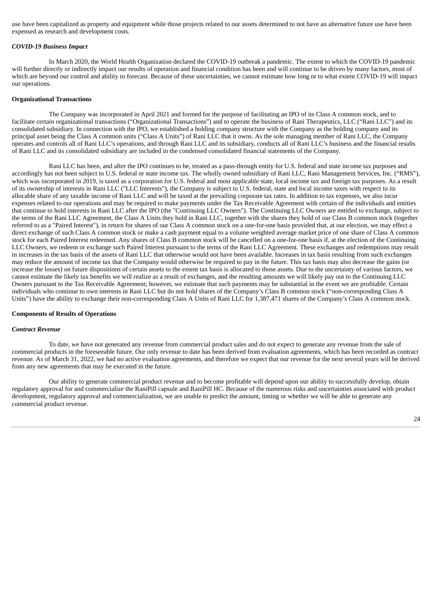use have been capitalized as property and equipment while those projects related to our assets determined to not have an alternative future use have been expensed as research and development costs.

#### *COVID-19 Business Impact*

In March 2020, the World Health Organization declared the COVID-19 outbreak a pandemic. The extent to which the COVID-19 pandemic will further directly or indirectly impact our results of operation and financial condition has been and will continue to be driven by many factors, most of which are beyond our control and ability to forecast. Because of these uncertainties, we cannot estimate how long or to what extent COVID-19 will impact our operations.

#### **Organizational Transactions**

The Company was incorporated in April 2021 and formed for the purpose of facilitating an IPO of its Class A common stock, and to facilitate certain organizational transactions ("Organizational Transactions") and to operate the business of Rani Therapeutics, LLC ("Rani LLC") and its consolidated subsidiary. In connection with the IPO, we established a holding company structure with the Company as the holding company and its principal asset being the Class A common units ("Class A Units") of Rani LLC that it owns. As the sole managing member of Rani LLC, the Company operates and controls all of Rani LLC's operations, and through Rani LLC and its subsidiary, conducts all of Rani LLC's business and the financial results of Rani LLC and its consolidated subsidiary are included in the condensed consolidated financial statements of the Company.

Rani LLC has been, and after the IPO continues to be, treated as a pass-through entity for U.S. federal and state income tax purposes and accordingly has not been subject to U.S. federal or state income tax. The wholly owned subsidiary of Rani LLC, Rani Management Services, Inc. ("RMS"), which was incorporated in 2019, is taxed as a corporation for U.S. federal and most applicable state, local income tax and foreign tax purposes. As a result of its ownership of interests in Rani LLC ("LLC Interests"), the Company is subject to U.S. federal, state and local income taxes with respect to its allocable share of any taxable income of Rani LLC and will be taxed at the prevailing corporate tax rates. In addition to tax expenses, we also incur expenses related to our operations and may be required to make payments under the Tax Receivable Agreement with certain of the individuals and entities that continue to hold interests in Rani LLC after the IPO (the "Continuing LLC Owners"). The Continuing LLC Owners are entitled to exchange, subject to the terms of the Rani LLC Agreement, the Class A Units they hold in Rani LLC, together with the shares they hold of our Class B common stock (together referred to as a "Paired Interest"), in return for shares of our Class A common stock on a one-for-one basis provided that, at our election, we may effect a direct exchange of such Class A common stock or make a cash payment equal to a volume weighted average market price of one share of Class A common stock for each Paired Interest redeemed. Any shares of Class B common stock will be cancelled on a one-for-one basis if, at the election of the Continuing LLC Owners, we redeem or exchange such Paired Interest pursuant to the terms of the Rani LLC Agreement. These exchanges and redemptions may result in increases in the tax basis of the assets of Rani LLC that otherwise would not have been available. Increases in tax basis resulting from such exchanges may reduce the amount of income tax that the Company would otherwise be required to pay in the future. This tax basis may also decrease the gains (or increase the losses) on future dispositions of certain assets to the extent tax basis is allocated to those assets. Due to the uncertainty of various factors, we cannot estimate the likely tax benefits we will realize as a result of exchanges, and the resulting amounts we will likely pay out to the Continuing LLC Owners pursuant to the Tax Receivable Agreement; however, we estimate that such payments may be substantial in the event we are profitable. Certain individuals who continue to own interests in Rani LLC but do not hold shares of the Company's Class B common stock ("non-corresponding Class A Units") have the ability to exchange their non-corresponding Class A Units of Rani LLC for 1,387,471 shares of the Company's Class A common stock.

#### **Components of Results of Operations**

#### *Contract Revenue*

To date, we have not generated any revenue from commercial product sales and do not expect to generate any revenue from the sale of commercial products in the foreseeable future. Our only revenue to date has been derived from evaluation agreements, which has been recorded as contract revenue. As of March 31, 2022, we had no active evaluation agreements, and therefore we expect that our revenue for the next several years will be derived from any new agreements that may be executed in the future.

Our ability to generate commercial product revenue and to become profitable will depend upon our ability to successfully develop, obtain regulatory approval for and commercialize the RaniPill capsule and RaniPill HC. Because of the numerous risks and uncertainties associated with product development, regulatory approval and commercialization, we are unable to predict the amount, timing or whether we will be able to generate any commercial product revenue.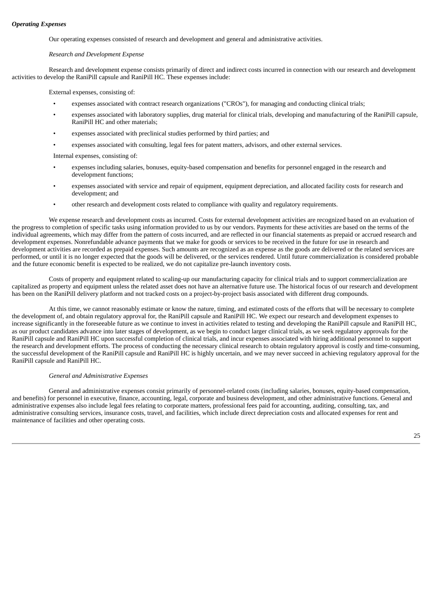Our operating expenses consisted of research and development and general and administrative activities.

#### *Research and Development Expense*

Research and development expense consists primarily of direct and indirect costs incurred in connection with our research and development activities to develop the RaniPill capsule and RaniPill HC. These expenses include:

External expenses, consisting of:

- expenses associated with contract research organizations ("CROs"), for managing and conducting clinical trials;
- expenses associated with laboratory supplies, drug material for clinical trials, developing and manufacturing of the RaniPill capsule, RaniPill HC and other materials;
- expenses associated with preclinical studies performed by third parties; and
- expenses associated with consulting, legal fees for patent matters, advisors, and other external services.

Internal expenses, consisting of:

- expenses including salaries, bonuses, equity-based compensation and benefits for personnel engaged in the research and development functions;
- expenses associated with service and repair of equipment, equipment depreciation, and allocated facility costs for research and development; and
- other research and development costs related to compliance with quality and regulatory requirements.

We expense research and development costs as incurred. Costs for external development activities are recognized based on an evaluation of the progress to completion of specific tasks using information provided to us by our vendors. Payments for these activities are based on the terms of the individual agreements, which may differ from the pattern of costs incurred, and are reflected in our financial statements as prepaid or accrued research and development expenses. Nonrefundable advance payments that we make for goods or services to be received in the future for use in research and development activities are recorded as prepaid expenses. Such amounts are recognized as an expense as the goods are delivered or the related services are performed, or until it is no longer expected that the goods will be delivered, or the services rendered. Until future commercialization is considered probable and the future economic benefit is expected to be realized, we do not capitalize pre-launch inventory costs.

Costs of property and equipment related to scaling-up our manufacturing capacity for clinical trials and to support commercialization are capitalized as property and equipment unless the related asset does not have an alternative future use. The historical focus of our research and development has been on the RaniPill delivery platform and not tracked costs on a project-by-project basis associated with different drug compounds.

At this time, we cannot reasonably estimate or know the nature, timing, and estimated costs of the efforts that will be necessary to complete the development of, and obtain regulatory approval for, the RaniPill capsule and RaniPill HC. We expect our research and development expenses to increase significantly in the foreseeable future as we continue to invest in activities related to testing and developing the RaniPill capsule and RaniPill HC, as our product candidates advance into later stages of development, as we begin to conduct larger clinical trials, as we seek regulatory approvals for the RaniPill capsule and RaniPill HC upon successful completion of clinical trials, and incur expenses associated with hiring additional personnel to support the research and development efforts. The process of conducting the necessary clinical research to obtain regulatory approval is costly and time-consuming, the successful development of the RaniPill capsule and RaniPill HC is highly uncertain, and we may never succeed in achieving regulatory approval for the RaniPill capsule and RaniPill HC.

#### *General and Administrative Expenses*

General and administrative expenses consist primarily of personnel-related costs (including salaries, bonuses, equity-based compensation, and benefits) for personnel in executive, finance, accounting, legal, corporate and business development, and other administrative functions. General and administrative expenses also include legal fees relating to corporate matters, professional fees paid for accounting, auditing, consulting, tax, and administrative consulting services, insurance costs, travel, and facilities, which include direct depreciation costs and allocated expenses for rent and maintenance of facilities and other operating costs.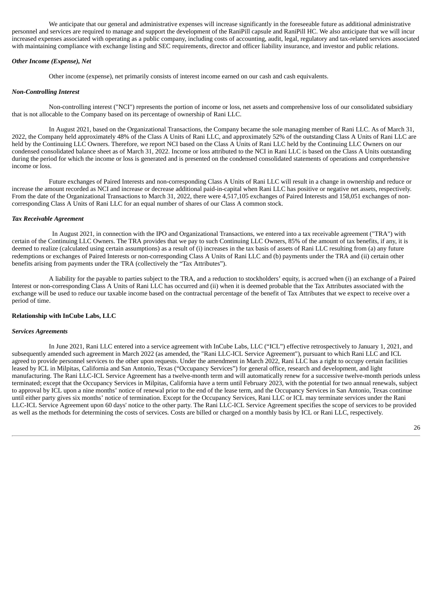We anticipate that our general and administrative expenses will increase significantly in the foreseeable future as additional administrative personnel and services are required to manage and support the development of the RaniPill capsule and RaniPill HC. We also anticipate that we will incur increased expenses associated with operating as a public company, including costs of accounting, audit, legal, regulatory and tax-related services associated with maintaining compliance with exchange listing and SEC requirements, director and officer liability insurance, and investor and public relations.

#### *Other Income (Expense), Net*

Other income (expense), net primarily consists of interest income earned on our cash and cash equivalents.

#### *Non-Controlling Interest*

Non-controlling interest ("NCI") represents the portion of income or loss, net assets and comprehensive loss of our consolidated subsidiary that is not allocable to the Company based on its percentage of ownership of Rani LLC.

In August 2021, based on the Organizational Transactions, the Company became the sole managing member of Rani LLC. As of March 31, 2022, the Company held approximately 48% of the Class A Units of Rani LLC, and approximately 52% of the outstanding Class A Units of Rani LLC are held by the Continuing LLC Owners. Therefore, we report NCI based on the Class A Units of Rani LLC held by the Continuing LLC Owners on our condensed consolidated balance sheet as of March 31, 2022. Income or loss attributed to the NCI in Rani LLC is based on the Class A Units outstanding during the period for which the income or loss is generated and is presented on the condensed consolidated statements of operations and comprehensive income or loss.

Future exchanges of Paired Interests and non-corresponding Class A Units of Rani LLC will result in a change in ownership and reduce or increase the amount recorded as NCI and increase or decrease additional paid-in-capital when Rani LLC has positive or negative net assets, respectively. From the date of the Organizational Transactions to March 31, 2022, there were 4,517,105 exchanges of Paired Interests and 158,051 exchanges of noncorresponding Class A Units of Rani LLC for an equal number of shares of our Class A common stock.

#### *Tax Receivable Agreement*

In August 2021, in connection with the IPO and Organizational Transactions, we entered into a tax receivable agreement ("TRA") with certain of the Continuing LLC Owners. The TRA provides that we pay to such Continuing LLC Owners, 85% of the amount of tax benefits, if any, it is deemed to realize (calculated using certain assumptions) as a result of (i) increases in the tax basis of assets of Rani LLC resulting from (a) any future redemptions or exchanges of Paired Interests or non-corresponding Class A Units of Rani LLC and (b) payments under the TRA and (ii) certain other benefits arising from payments under the TRA (collectively the "Tax Attributes").

A liability for the payable to parties subject to the TRA, and a reduction to stockholders' equity, is accrued when (i) an exchange of a Paired Interest or non-corresponding Class A Units of Rani LLC has occurred and (ii) when it is deemed probable that the Tax Attributes associated with the exchange will be used to reduce our taxable income based on the contractual percentage of the benefit of Tax Attributes that we expect to receive over a period of time.

#### **Relationship with InCube Labs, LLC**

#### *Services Agreements*

In June 2021, Rani LLC entered into a service agreement with InCube Labs, LLC ("ICL") effective retrospectively to January 1, 2021, and subsequently amended such agreement in March 2022 (as amended, the "Rani LLC-ICL Service Agreement"), pursuant to which Rani LLC and ICL agreed to provide personnel services to the other upon requests. Under the amendment in March 2022, Rani LLC has a right to occupy certain facilities leased by ICL in Milpitas, California and San Antonio, Texas ("Occupancy Services") for general office, research and development, and light manufacturing. The Rani LLC-ICL Service Agreement has a twelve-month term and will automatically renew for a successive twelve-month periods unless terminated; except that the Occupancy Services in Milpitas, California have a term until February 2023, with the potential for two annual renewals, subject to approval by ICL upon a nine months' notice of renewal prior to the end of the lease term, and the Occupancy Services in San Antonio, Texas continue until either party gives six months' notice of termination. Except for the Occupancy Services, Rani LLC or ICL may terminate services under the Rani LLC-ICL Service Agreement upon 60 days' notice to the other party. The Rani LLC-ICL Service Agreement specifies the scope of services to be provided as well as the methods for determining the costs of services. Costs are billed or charged on a monthly basis by ICL or Rani LLC, respectively.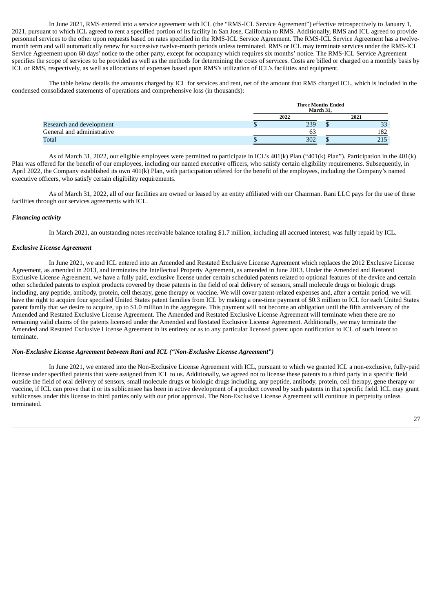In June 2021, RMS entered into a service agreement with ICL (the "RMS-ICL Service Agreement") effective retrospectively to January 1, 2021, pursuant to which ICL agreed to rent a specified portion of its facility in San Jose, California to RMS. Additionally, RMS and ICL agreed to provide personnel services to the other upon requests based on rates specified in the RMS-ICL Service Agreement. The RMS-ICL Service Agreement has a twelvemonth term and will automatically renew for successive twelve-month periods unless terminated. RMS or ICL may terminate services under the RMS-ICL Service Agreement upon 60 days' notice to the other party, except for occupancy which requires six months' notice. The RMS-ICL Service Agreement specifies the scope of services to be provided as well as the methods for determining the costs of services. Costs are billed or charged on a monthly basis by ICL or RMS, respectively, as well as allocations of expenses based upon RMS's utilization of ICL's facilities and equipment.

The table below details the amounts charged by ICL for services and rent, net of the amount that RMS charged ICL, which is included in the condensed consolidated statements of operations and comprehensive loss (in thousands):

|                            | <b>Three Months Ended</b><br>March 31, |   |           |  |
|----------------------------|----------------------------------------|---|-----------|--|
|                            | 2022                                   |   | 2021      |  |
| Research and development   | 239                                    | ω | つつ<br>ں ں |  |
| General and administrative | 63                                     |   | 182       |  |
| Total                      | 302                                    |   | 215       |  |

As of March 31, 2022, our eligible employees were permitted to participate in ICL's 401(k) Plan ("401(k) Plan"). Participation in the 401(k) Plan was offered for the benefit of our employees, including our named executive officers, who satisfy certain eligibility requirements. Subsequently, in April 2022, the Company established its own 401(k) Plan, with participation offered for the benefit of the employees, including the Company's named executive officers, who satisfy certain eligibility requirements.

As of March 31, 2022, all of our facilities are owned or leased by an entity affiliated with our Chairman. Rani LLC pays for the use of these facilities through our services agreements with ICL.

#### *Financing activity*

In March 2021, an outstanding notes receivable balance totaling \$1.7 million, including all accrued interest, was fully repaid by ICL.

#### *Exclusive License Agreement*

In June 2021, we and ICL entered into an Amended and Restated Exclusive License Agreement which replaces the 2012 Exclusive License Agreement, as amended in 2013, and terminates the Intellectual Property Agreement, as amended in June 2013. Under the Amended and Restated Exclusive License Agreement, we have a fully paid, exclusive license under certain scheduled patents related to optional features of the device and certain other scheduled patents to exploit products covered by those patents in the field of oral delivery of sensors, small molecule drugs or biologic drugs including, any peptide, antibody, protein, cell therapy, gene therapy or vaccine. We will cover patent-related expenses and, after a certain period, we will have the right to acquire four specified United States patent families from ICL by making a one-time payment of \$0.3 million to ICL for each United States patent family that we desire to acquire, up to \$1.0 million in the aggregate. This payment will not become an obligation until the fifth anniversary of the Amended and Restated Exclusive License Agreement. The Amended and Restated Exclusive License Agreement will terminate when there are no remaining valid claims of the patents licensed under the Amended and Restated Exclusive License Agreement. Additionally, we may terminate the Amended and Restated Exclusive License Agreement in its entirety or as to any particular licensed patent upon notification to ICL of such intent to terminate.

#### *Non-Exclusive License Agreement between Rani and ICL ("Non-Exclusive License Agreement")*

In June 2021, we entered into the Non-Exclusive License Agreement with ICL, pursuant to which we granted ICL a non-exclusive, fully-paid license under specified patents that were assigned from ICL to us. Additionally, we agreed not to license these patents to a third party in a specific field outside the field of oral delivery of sensors, small molecule drugs or biologic drugs including, any peptide, antibody, protein, cell therapy, gene therapy or vaccine, if ICL can prove that it or its sublicensee has been in active development of a product covered by such patents in that specific field. ICL may grant sublicenses under this license to third parties only with our prior approval. The Non-Exclusive License Agreement will continue in perpetuity unless terminated.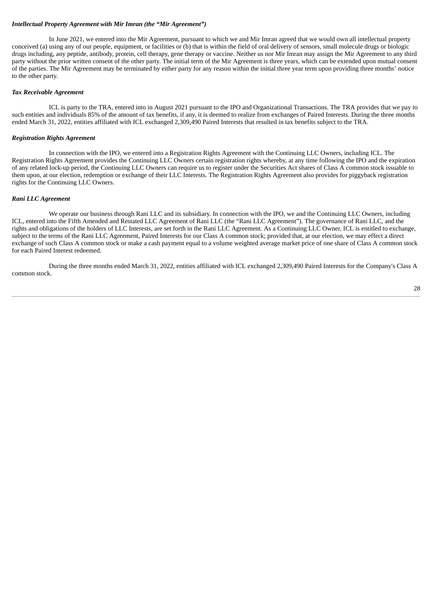#### *Intellectual Property Agreement with Mir Imran (the "Mir Agreement")*

In June 2021, we entered into the Mir Agreement, pursuant to which we and Mir Imran agreed that we would own all intellectual property conceived (a) using any of our people, equipment, or facilities or (b) that is within the field of oral delivery of sensors, small molecule drugs or biologic drugs including, any peptide, antibody, protein, cell therapy, gene therapy or vaccine. Neither us nor Mir Imran may assign the Mir Agreement to any third party without the prior written consent of the other party. The initial term of the Mir Agreement is three years, which can be extended upon mutual consent of the parties. The Mir Agreement may be terminated by either party for any reason within the initial three year term upon providing three months' notice to the other party.

#### *Tax Receivable Agreement*

ICL is party to the TRA, entered into in August 2021 pursuant to the IPO and Organizational Transactions. The TRA provides that we pay to such entities and individuals 85% of the amount of tax benefits, if any, it is deemed to realize from exchanges of Paired Interests. During the three months ended March 31, 2022, entities affiliated with ICL exchanged 2,309,490 Paired Interests that resulted in tax benefits subject to the TRA.

#### *Registration Rights Agreement*

In connection with the IPO, we entered into a Registration Rights Agreement with the Continuing LLC Owners, including ICL. The Registration Rights Agreement provides the Continuing LLC Owners certain registration rights whereby, at any time following the IPO and the expiration of any related lock-up period, the Continuing LLC Owners can require us to register under the Securities Act shares of Class A common stock issuable to them upon, at our election, redemption or exchange of their LLC Interests. The Registration Rights Agreement also provides for piggyback registration rights for the Continuing LLC Owners.

#### *Rani LLC Agreement*

We operate our business through Rani LLC and its subsidiary. In connection with the IPO, we and the Continuing LLC Owners, including ICL, entered into the Fifth Amended and Restated LLC Agreement of Rani LLC (the "Rani LLC Agreement"). The governance of Rani LLC, and the rights and obligations of the holders of LLC Interests, are set forth in the Rani LLC Agreement. As a Continuing LLC Owner, ICL is entitled to exchange, subject to the terms of the Rani LLC Agreement, Paired Interests for our Class A common stock; provided that, at our election, we may effect a direct exchange of such Class A common stock or make a cash payment equal to a volume weighted average market price of one share of Class A common stock for each Paired Interest redeemed.

During the three months ended March 31, 2022, entities affiliated with ICL exchanged 2,309,490 Paired Interests for the Company's Class A common stock.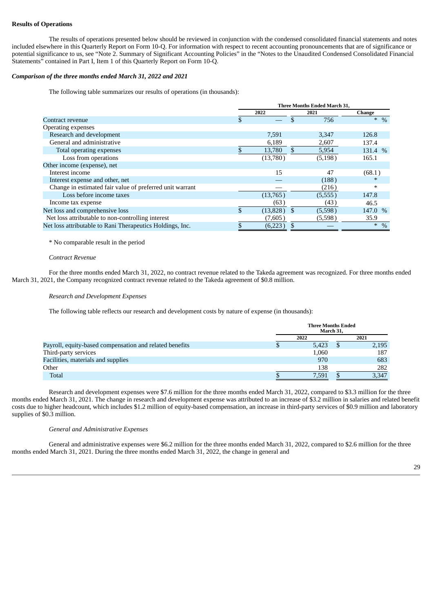#### **Results of Operations**

The results of operations presented below should be reviewed in conjunction with the condensed consolidated financial statements and notes included elsewhere in this Quarterly Report on Form 10-Q. For information with respect to recent accounting pronouncements that are of significance or potential significance to us, see "Note 2. Summary of Significant Accounting Policies" in the "Notes to the Unaudited Condensed Consolidated Financial Statements" contained in Part I, Item 1 of this Quarterly Report on Form 10-Q.

#### *Comparison of the three months ended March 31, 2022 and 2021*

The following table summarizes our results of operations (in thousands):

|                                                           | <b>Three Months Ended March 31.</b> |              |          |                 |
|-----------------------------------------------------------|-------------------------------------|--------------|----------|-----------------|
|                                                           | 2022                                |              | 2021     | Change          |
| Contract revenue                                          | \$                                  | $\mathbf{S}$ | 756      | * $\frac{0}{0}$ |
| Operating expenses                                        |                                     |              |          |                 |
| Research and development                                  | 7,591                               |              | 3,347    | 126.8           |
| General and administrative                                | 6,189                               |              | 2,607    | 137.4           |
| Total operating expenses                                  | \$<br>13,780                        | \$           | 5,954    | 131.4 %         |
| Loss from operations                                      | (13,780)                            |              | (5, 198) | 165.1           |
| Other income (expense), net                               |                                     |              |          |                 |
| Interest income                                           | 15                                  |              | 47       | (68.1)          |
| Interest expense and other, net                           |                                     |              | (188)    |                 |
| Change in estimated fair value of preferred unit warrant  |                                     |              | (216)    | $\ast$          |
| Loss before income taxes                                  | (13,765)                            |              | (5,555)  | 147.8           |
| Income tax expense                                        | (63)                                |              | (43)     | 46.5            |
| Net loss and comprehensive loss                           | \$<br>(13, 828)                     | -S           | (5,598)  | 147.0 %         |
| Net loss attributable to non-controlling interest         | (7,605)                             |              | (5,598)  | 35.9            |
| Net loss attributable to Rani Therapeutics Holdings, Inc. | (6,223)                             | \$           |          | * $\frac{0}{0}$ |

\* No comparable result in the period

#### *Contract Revenue*

For the three months ended March 31, 2022, no contract revenue related to the Takeda agreement was recognized. For three months ended March 31, 2021, the Company recognized contract revenue related to the Takeda agreement of \$0.8 million.

#### *Research and Development Expenses*

The following table reflects our research and development costs by nature of expense (in thousands):

|                                                         | <b>Three Months Ended</b><br>March 31, |       |  |       |
|---------------------------------------------------------|----------------------------------------|-------|--|-------|
|                                                         |                                        | 2022  |  | 2021  |
| Payroll, equity-based compensation and related benefits | D                                      | 5,423 |  | 2,195 |
| Third-party services                                    |                                        | 1,060 |  | 187   |
| Facilities, materials and supplies                      |                                        | 970   |  | 683   |
| Other                                                   |                                        | 138   |  | 282   |
| Total                                                   |                                        | 7,591 |  | 3,347 |

Research and development expenses were \$7.6 million for the three months ended March 31, 2022, compared to \$3.3 million for the three months ended March 31, 2021. The change in research and development expense was attributed to an increase of \$3.2 million in salaries and related benefit costs due to higher headcount, which includes \$1.2 million of equity-based compensation, an increase in third-party services of \$0.9 million and laboratory supplies of \$0.3 million.

#### *General and Administrative Expenses*

General and administrative expenses were \$6.2 million for the three months ended March 31, 2022, compared to \$2.6 million for the three months ended March 31, 2021. During the three months ended March 31, 2022, the change in general and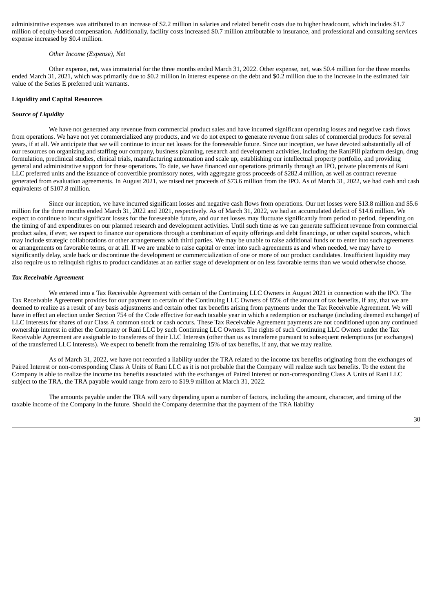administrative expenses was attributed to an increase of \$2.2 million in salaries and related benefit costs due to higher headcount, which includes \$1.7 million of equity-based compensation. Additionally, facility costs increased \$0.7 million attributable to insurance, and professional and consulting services expense increased by \$0.4 million.

#### *Other Income (Expense), Net*

Other expense, net, was immaterial for the three months ended March 31, 2022. Other expense, net, was \$0.4 million for the three months ended March 31, 2021, which was primarily due to \$0.2 million in interest expense on the debt and \$0.2 million due to the increase in the estimated fair value of the Series E preferred unit warrants.

#### **Liquidity and Capital Resources**

#### *Source of Liquidity*

We have not generated any revenue from commercial product sales and have incurred significant operating losses and negative cash flows from operations. We have not yet commercialized any products, and we do not expect to generate revenue from sales of commercial products for several years, if at all. We anticipate that we will continue to incur net losses for the foreseeable future. Since our inception, we have devoted substantially all of our resources on organizing and staffing our company, business planning, research and development activities, including the RaniPill platform design, drug formulation, preclinical studies, clinical trials, manufacturing automation and scale up, establishing our intellectual property portfolio, and providing general and administrative support for these operations. To date, we have financed our operations primarily through an IPO, private placements of Rani LLC preferred units and the issuance of convertible promissory notes, with aggregate gross proceeds of \$282.4 million, as well as contract revenue generated from evaluation agreements. In August 2021, we raised net proceeds of \$73.6 million from the IPO. As of March 31, 2022, we had cash and cash equivalents of \$107.8 million.

Since our inception, we have incurred significant losses and negative cash flows from operations. Our net losses were \$13.8 million and \$5.6 million for the three months ended March 31, 2022 and 2021, respectively. As of March 31, 2022, we had an accumulated deficit of \$14.6 million. We expect to continue to incur significant losses for the foreseeable future, and our net losses may fluctuate significantly from period to period, depending on the timing of and expenditures on our planned research and development activities. Until such time as we can generate sufficient revenue from commercial product sales, if ever, we expect to finance our operations through a combination of equity offerings and debt financings, or other capital sources, which may include strategic collaborations or other arrangements with third parties. We may be unable to raise additional funds or to enter into such agreements or arrangements on favorable terms, or at all. If we are unable to raise capital or enter into such agreements as and when needed, we may have to significantly delay, scale back or discontinue the development or commercialization of one or more of our product candidates. Insufficient liquidity may also require us to relinquish rights to product candidates at an earlier stage of development or on less favorable terms than we would otherwise choose.

#### *Tax Receivable Agreement*

We entered into a Tax Receivable Agreement with certain of the Continuing LLC Owners in August 2021 in connection with the IPO. The Tax Receivable Agreement provides for our payment to certain of the Continuing LLC Owners of 85% of the amount of tax benefits, if any, that we are deemed to realize as a result of any basis adjustments and certain other tax benefits arising from payments under the Tax Receivable Agreement. We will have in effect an election under Section 754 of the Code effective for each taxable year in which a redemption or exchange (including deemed exchange) of LLC Interests for shares of our Class A common stock or cash occurs. These Tax Receivable Agreement payments are not conditioned upon any continued ownership interest in either the Company or Rani LLC by such Continuing LLC Owners. The rights of such Continuing LLC Owners under the Tax Receivable Agreement are assignable to transferees of their LLC Interests (other than us as transferee pursuant to subsequent redemptions (or exchanges) of the transferred LLC Interests). We expect to benefit from the remaining 15% of tax benefits, if any, that we may realize.

As of March 31, 2022, we have not recorded a liability under the TRA related to the income tax benefits originating from the exchanges of Paired Interest or non-corresponding Class A Units of Rani LLC as it is not probable that the Company will realize such tax benefits. To the extent the Company is able to realize the income tax benefits associated with the exchanges of Paired Interest or non-corresponding Class A Units of Rani LLC subject to the TRA, the TRA payable would range from zero to \$19.9 million at March 31, 2022.

The amounts payable under the TRA will vary depending upon a number of factors, including the amount, character, and timing of the taxable income of the Company in the future. Should the Company determine that the payment of the TRA liability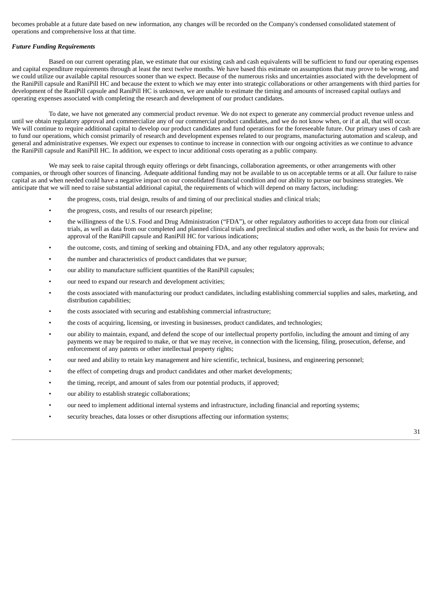becomes probable at a future date based on new information, any changes will be recorded on the Company's condensed consolidated statement of operations and comprehensive loss at that time.

#### *Future Funding Requirements*

Based on our current operating plan, we estimate that our existing cash and cash equivalents will be sufficient to fund our operating expenses and capital expenditure requirements through at least the next twelve months. We have based this estimate on assumptions that may prove to be wrong, and we could utilize our available capital resources sooner than we expect. Because of the numerous risks and uncertainties associated with the development of the RaniPill capsule and RaniPill HC and because the extent to which we may enter into strategic collaborations or other arrangements with third parties for development of the RaniPill capsule and RaniPill HC is unknown, we are unable to estimate the timing and amounts of increased capital outlays and operating expenses associated with completing the research and development of our product candidates.

To date, we have not generated any commercial product revenue. We do not expect to generate any commercial product revenue unless and until we obtain regulatory approval and commercialize any of our commercial product candidates, and we do not know when, or if at all, that will occur. We will continue to require additional capital to develop our product candidates and fund operations for the foreseeable future. Our primary uses of cash are to fund our operations, which consist primarily of research and development expenses related to our programs, manufacturing automation and scaleup, and general and administrative expenses. We expect our expenses to continue to increase in connection with our ongoing activities as we continue to advance the RaniPill capsule and RaniPill HC. In addition, we expect to incur additional costs operating as a public company.

We may seek to raise capital through equity offerings or debt financings, collaboration agreements, or other arrangements with other companies, or through other sources of financing. Adequate additional funding may not be available to us on acceptable terms or at all. Our failure to raise capital as and when needed could have a negative impact on our consolidated financial condition and our ability to pursue our business strategies. We anticipate that we will need to raise substantial additional capital, the requirements of which will depend on many factors, including:

- the progress, costs, trial design, results of and timing of our preclinical studies and clinical trials;
- the progress, costs, and results of our research pipeline;
- the willingness of the U.S. Food and Drug Administration ("FDA"), or other regulatory authorities to accept data from our clinical trials, as well as data from our completed and planned clinical trials and preclinical studies and other work, as the basis for review and approval of the RaniPill capsule and RaniPill HC for various indications;
- the outcome, costs, and timing of seeking and obtaining FDA, and any other regulatory approvals;
- the number and characteristics of product candidates that we pursue;
- our ability to manufacture sufficient quantities of the RaniPill capsules;
- our need to expand our research and development activities;
- the costs associated with manufacturing our product candidates, including establishing commercial supplies and sales, marketing, and distribution capabilities;
- the costs associated with securing and establishing commercial infrastructure;
- the costs of acquiring, licensing, or investing in businesses, product candidates, and technologies;
- our ability to maintain, expand, and defend the scope of our intellectual property portfolio, including the amount and timing of any payments we may be required to make, or that we may receive, in connection with the licensing, filing, prosecution, defense, and enforcement of any patents or other intellectual property rights;
- our need and ability to retain key management and hire scientific, technical, business, and engineering personnel;
- the effect of competing drugs and product candidates and other market developments;
- the timing, receipt, and amount of sales from our potential products, if approved;
- our ability to establish strategic collaborations;
- our need to implement additional internal systems and infrastructure, including financial and reporting systems;
- security breaches, data losses or other disruptions affecting our information systems;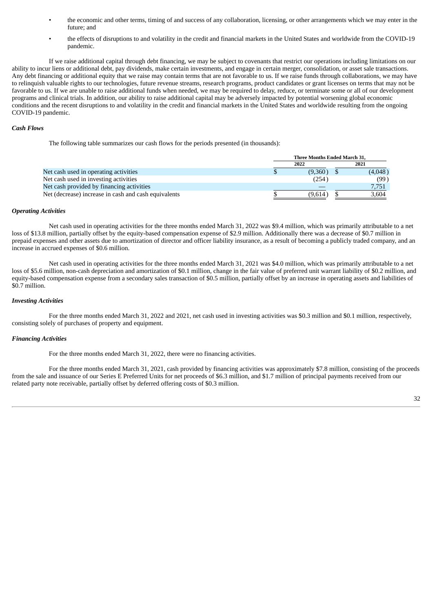- the economic and other terms, timing of and success of any collaboration, licensing, or other arrangements which we may enter in the future; and
- the effects of disruptions to and volatility in the credit and financial markets in the United States and worldwide from the COVID-19 pandemic.

If we raise additional capital through debt financing, we may be subject to covenants that restrict our operations including limitations on our ability to incur liens or additional debt, pay dividends, make certain investments, and engage in certain merger, consolidation, or asset sale transactions. Any debt financing or additional equity that we raise may contain terms that are not favorable to us. If we raise funds through collaborations, we may have to relinquish valuable rights to our technologies, future revenue streams, research programs, product candidates or grant licenses on terms that may not be favorable to us. If we are unable to raise additional funds when needed, we may be required to delay, reduce, or terminate some or all of our development programs and clinical trials. In addition, our ability to raise additional capital may be adversely impacted by potential worsening global economic conditions and the recent disruptions to and volatility in the credit and financial markets in the United States and worldwide resulting from the ongoing COVID-19 pandemic.

#### *Cash Flows*

The following table summarizes our cash flows for the periods presented (in thousands):

|                                                      | Three Months Ended March 31, |         |  |         |
|------------------------------------------------------|------------------------------|---------|--|---------|
|                                                      |                              | 2022    |  | 2021    |
| Net cash used in operating activities                |                              | (9,360) |  | (4,048) |
| Net cash used in investing activities                |                              | (254)   |  | (99)    |
| Net cash provided by financing activities            |                              |         |  | 7,751   |
| Net (decrease) increase in cash and cash equivalents |                              | (9,614) |  | 3,604   |

#### *Operating Activities*

Net cash used in operating activities for the three months ended March 31, 2022 was \$9.4 million, which was primarily attributable to a net loss of \$13.8 million, partially offset by the equity-based compensation expense of \$2.9 million. Additionally there was a decrease of \$0.7 million in prepaid expenses and other assets due to amortization of director and officer liability insurance, as a result of becoming a publicly traded company, and an increase in accrued expenses of \$0.6 million.

Net cash used in operating activities for the three months ended March 31, 2021 was \$4.0 million, which was primarily attributable to a net loss of \$5.6 million, non-cash depreciation and amortization of \$0.1 million, change in the fair value of preferred unit warrant liability of \$0.2 million, and equity-based compensation expense from a secondary sales transaction of \$0.5 million, partially offset by an increase in operating assets and liabilities of \$0.7 million.

#### *Investing Activities*

For the three months ended March 31, 2022 and 2021, net cash used in investing activities was \$0.3 million and \$0.1 million, respectively, consisting solely of purchases of property and equipment.

#### *Financing Activities*

For the three months ended March 31, 2022, there were no financing activities.

For the three months ended March 31, 2021, cash provided by financing activities was approximately \$7.8 million, consisting of the proceeds from the sale and issuance of our Series E Preferred Units for net proceeds of \$6.3 million, and \$1.7 million of principal payments received from our related party note receivable, partially offset by deferred offering costs of \$0.3 million.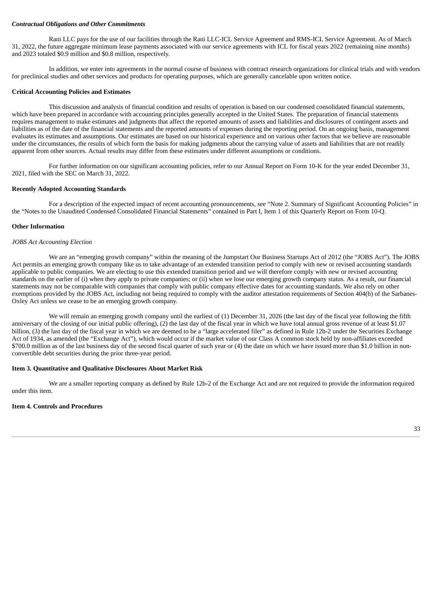#### *Contractual Obligations and Other Commitments*

Rani LLC pays for the use of our facilities through the Rani LLC-ICL Service Agreement and RMS-ICL Service Agreement. As of March 31, 2022, the future aggregate minimum lease payments associated with our service agreements with ICL for fiscal years 2022 (remaining nine months) and 2023 totaled \$0.9 million and \$0.8 million, respectively.

In addition, we enter into agreements in the normal course of business with contract research organizations for clinical trials and with vendors for preclinical studies and other services and products for operating purposes, which are generally cancelable upon written notice.

#### **Critical Accounting Policies and Estimates**

This discussion and analysis of financial condition and results of operation is based on our condensed consolidated financial statements, which have been prepared in accordance with accounting principles generally accepted in the United States. The preparation of financial statements requires management to make estimates and judgments that affect the reported amounts of assets and liabilities and disclosures of contingent assets and liabilities as of the date of the financial statements and the reported amounts of expenses during the reporting period. On an ongoing basis, management evaluates its estimates and assumptions. Our estimates are based on our historical experience and on various other factors that we believe are reasonable under the circumstances, the results of which form the basis for making judgments about the carrying value of assets and liabilities that are not readily apparent from other sources. Actual results may differ from these estimates under different assumptions or conditions.

For further information on our significant accounting policies, refer to our Annual Report on Form 10-K for the year ended December 31, 2021, filed with the SEC on March 31, 2022.

#### **Recently Adopted Accounting Standards**

For a description of the expected impact of recent accounting pronouncements, see "Note 2. Summary of Significant Accounting Policies" in the "Notes to the Unaudited Condensed Consolidated Financial Statements" contained in Part I, Item 1 of this Quarterly Report on Form 10-Q.

#### **Other Information**

#### *JOBS Act Accounting Election*

We are an "emerging growth company" within the meaning of the Jumpstart Our Business Startups Act of 2012 (the "JOBS Act"). The JOBS Act permits an emerging growth company like us to take advantage of an extended transition period to comply with new or revised accounting standards applicable to public companies. We are electing to use this extended transition period and we will therefore comply with new or revised accounting standards on the earlier of (i) when they apply to private companies; or (ii) when we lose our emerging growth company status. As a result, our financial statements may not be comparable with companies that comply with public company effective dates for accounting standards. We also rely on other exemptions provided by the JOBS Act, including not being required to comply with the auditor attestation requirements of Section 404(b) of the Sarbanes-Oxley Act unless we cease to be an emerging growth company.

We will remain an emerging growth company until the earliest of (1) December 31, 2026 (the last day of the fiscal year following the fifth anniversary of the closing of our initial public offering), (2) the last day of the fiscal year in which we have total annual gross revenue of at least \$1.07 billion, (3) the last day of the fiscal year in which we are deemed to be a "large accelerated filer" as defined in Rule 12b-2 under the Securities Exchange Act of 1934, as amended (the "Exchange Act"), which would occur if the market value of our Class A common stock held by non-affiliates exceeded \$700.0 million as of the last business day of the second fiscal quarter of such year or (4) the date on which we have issued more than \$1.0 billion in nonconvertible debt securities during the prior three-year period.

#### <span id="page-32-0"></span>**Item 3. Quantitative and Qualitative Disclosures About Market Risk**

We are a smaller reporting company as defined by Rule 12b-2 of the Exchange Act and are not required to provide the information required under this item.

#### <span id="page-32-1"></span>**Item 4. Controls and Procedures**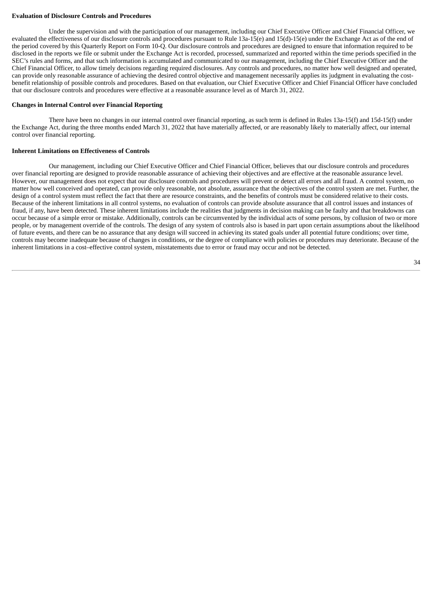#### **Evaluation of Disclosure Controls and Procedures**

Under the supervision and with the participation of our management, including our Chief Executive Officer and Chief Financial Officer, we evaluated the effectiveness of our disclosure controls and procedures pursuant to Rule 13a-15(e) and 15(d)-15(e) under the Exchange Act as of the end of the period covered by this Quarterly Report on Form 10-Q. Our disclosure controls and procedures are designed to ensure that information required to be disclosed in the reports we file or submit under the Exchange Act is recorded, processed, summarized and reported within the time periods specified in the SEC's rules and forms, and that such information is accumulated and communicated to our management, including the Chief Executive Officer and the Chief Financial Officer, to allow timely decisions regarding required disclosures. Any controls and procedures, no matter how well designed and operated, can provide only reasonable assurance of achieving the desired control objective and management necessarily applies its judgment in evaluating the costbenefit relationship of possible controls and procedures. Based on that evaluation, our Chief Executive Officer and Chief Financial Officer have concluded that our disclosure controls and procedures were effective at a reasonable assurance level as of March 31, 2022.

#### **Changes in Internal Control over Financial Reporting**

There have been no changes in our internal control over financial reporting, as such term is defined in Rules 13a-15(f) and 15d-15(f) under the Exchange Act, during the three months ended March 31, 2022 that have materially affected, or are reasonably likely to materially affect, our internal control over financial reporting.

#### **Inherent Limitations on Effectiveness of Controls**

Our management, including our Chief Executive Officer and Chief Financial Officer, believes that our disclosure controls and procedures over financial reporting are designed to provide reasonable assurance of achieving their objectives and are effective at the reasonable assurance level. However, our management does not expect that our disclosure controls and procedures will prevent or detect all errors and all fraud. A control system, no matter how well conceived and operated, can provide only reasonable, not absolute, assurance that the objectives of the control system are met. Further, the design of a control system must reflect the fact that there are resource constraints, and the benefits of controls must be considered relative to their costs. Because of the inherent limitations in all control systems, no evaluation of controls can provide absolute assurance that all control issues and instances of fraud, if any, have been detected. These inherent limitations include the realities that judgments in decision making can be faulty and that breakdowns can occur because of a simple error or mistake. Additionally, controls can be circumvented by the individual acts of some persons, by collusion of two or more people, or by management override of the controls. The design of any system of controls also is based in part upon certain assumptions about the likelihood of future events, and there can be no assurance that any design will succeed in achieving its stated goals under all potential future conditions; over time, controls may become inadequate because of changes in conditions, or the degree of compliance with policies or procedures may deteriorate. Because of the inherent limitations in a cost–effective control system, misstatements due to error or fraud may occur and not be detected.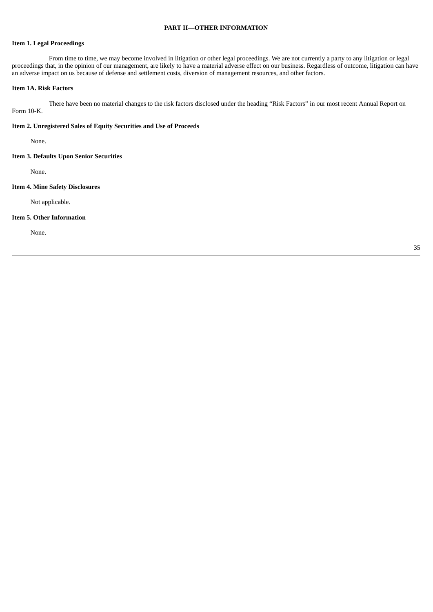### **PART II—OTHER INFORMATION**

#### <span id="page-34-1"></span><span id="page-34-0"></span>**Item 1. Legal Proceedings**

From time to time, we may become involved in litigation or other legal proceedings. We are not currently a party to any litigation or legal proceedings that, in the opinion of our management, are likely to have a material adverse effect on our business. Regardless of outcome, litigation can have an adverse impact on us because of defense and settlement costs, diversion of management resources, and other factors.

#### <span id="page-34-2"></span>**Item 1A. Risk Factors**

There have been no material changes to the risk factors disclosed under the heading "Risk Factors" in our most recent Annual Report on Form 10-K.

#### <span id="page-34-3"></span>**Item 2. Unregistered Sales of Equity Securities and Use of Proceeds**

None.

#### <span id="page-34-4"></span>**Item 3. Defaults Upon Senior Securities**

None.

#### <span id="page-34-5"></span>**Item 4. Mine Safety Disclosures**

Not applicable.

#### <span id="page-34-6"></span>**Item 5. Other Information**

None.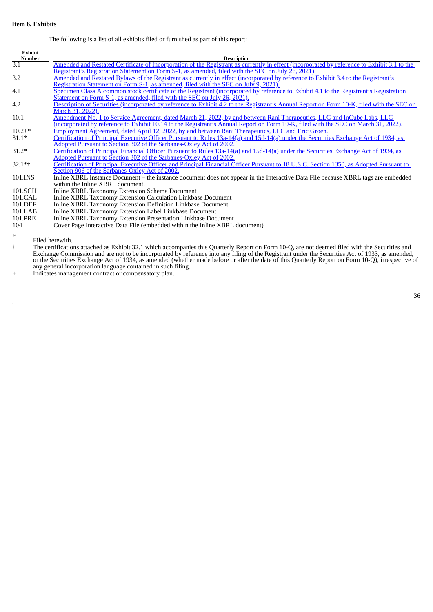#### <span id="page-35-0"></span>**Item 6. Exhibits**

The following is a list of all exhibits filed or furnished as part of this report:

| <b>Exhibit</b><br><b>Number</b>   | <b>Description</b>                                                                                                                          |
|-----------------------------------|---------------------------------------------------------------------------------------------------------------------------------------------|
| 3.1                               | Amended and Restated Certificate of Incorporation of the Registrant as currently in effect (incorporated by reference to Exhibit 3.1 to the |
|                                   | Registrant's Registration Statement on Form S-1, as amended, filed with the SEC on July 26, 2021).                                          |
| 3.2                               | Amended and Restated Bylaws of the Registrant as currently in effect (incorporated by reference to Exhibit 3.4 to the Registrant's          |
|                                   | Registration Statement on Form S-1, as amended, filed with the SEC on July 9, 2021).                                                        |
| 4.1                               | Specimen Class A common stock certificate of the Registrant (incorporated by reference to Exhibit 4.1 to the Registrant's Registration      |
|                                   | Statement on Form S-1, as amended, filed with the SEC on July 26, 2021).                                                                    |
| 4.2                               | Description of Securities (incorporated by reference to Exhibit 4.2 to the Registrant's Annual Report on Form 10-K, filed with the SEC on   |
|                                   | March 31, 2022).                                                                                                                            |
| 10.1                              | Amendment No. 1 to Service Agreement, dated March 21, 2022, by and between Rani Therapeutics, LLC and InCube Labs, LLC                      |
|                                   | (incorporated by reference to Exhibit 10.14 to the Registrant's Annual Report on Form 10-K, filed with the SEC on March 31, 2022).          |
| $10.2+*$                          | Employment Agreement, dated April 12, 2022, by and between Rani Therapeutics, LLC and Eric Groen.                                           |
| $31.1*$                           | Certification of Principal Executive Officer Pursuant to Rules 13a-14(a) and 15d-14(a) under the Securities Exchange Act of 1934, as        |
|                                   | Adopted Pursuant to Section 302 of the Sarbanes-Oxley Act of 2002.                                                                          |
| $31.2*$                           | Certification of Principal Financial Officer Pursuant to Rules 13a-14(a) and 15d-14(a) under the Securities Exchange Act of 1934, as        |
|                                   | Adopted Pursuant to Section 302 of the Sarbanes-Oxley Act of 2002.                                                                          |
| $32.1*$                           | Certification of Principal Executive Officer and Principal Financial Officer Pursuant to 18 U.S.C. Section 1350, as Adopted Pursuant to     |
|                                   | Section 906 of the Sarbanes-Oxley Act of 2002.                                                                                              |
| 101.INS                           | Inline XBRL Instance Document - the instance document does not appear in the Interactive Data File because XBRL tags are embedded           |
|                                   | within the Inline XBRL document.                                                                                                            |
| 101.SCH                           | Inline XBRL Taxonomy Extension Schema Document                                                                                              |
| 101.CAL                           | Inline XBRL Taxonomy Extension Calculation Linkbase Document                                                                                |
| 101.DEF                           | Inline XBRL Taxonomy Extension Definition Linkbase Document                                                                                 |
| 101.LAB                           | Inline XBRL Taxonomy Extension Label Linkbase Document                                                                                      |
| 101.PRE                           | Inline XBRL Taxonomy Extension Presentation Linkbase Document                                                                               |
| 104                               | Cover Page Interactive Data File (embedded within the Inline XBRL document)                                                                 |
| <b>Contract Contract Contract</b> |                                                                                                                                             |

\* Filed herewith.<br>
<sup>+</sup> The certification

† The certifications attached as Exhibit 32.1 which accompanies this Quarterly Report on Form 10-Q, are not deemed filed with the Securities and Exchange Commission and are not to be incorporated by reference into any filing of the Registrant under the Securities Act of 1933, as amended, or the Securities Exchange Act of 1934, as amended (whether made before or after the date of this Quarterly Report on Form 10-Q), irrespective of any general incorporation language contained in such filing.

Indicates management contract or compensatory plan.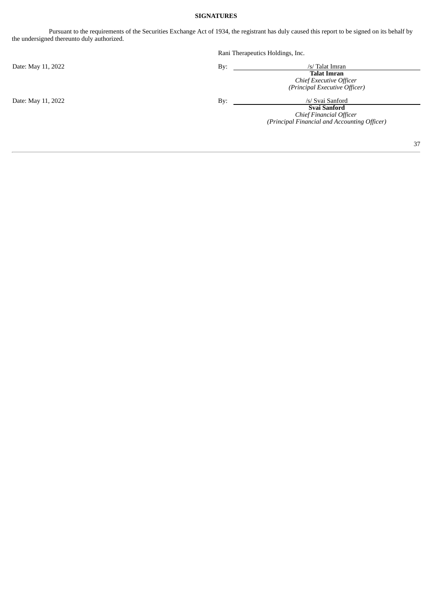# **SIGNATURES**

<span id="page-36-0"></span>Pursuant to the requirements of the Securities Exchange Act of 1934, the registrant has duly caused this report to be signed on its behalf by the undersigned thereunto duly authorized.

|                    |     | Rani Therapeutics Holdings, Inc.                                                                            |    |
|--------------------|-----|-------------------------------------------------------------------------------------------------------------|----|
| Date: May 11, 2022 | By: | /s/ Talat Imran<br><b>Talat Imran</b><br>Chief Executive Officer<br>(Principal Executive Officer)           |    |
| Date: May 11, 2022 | By: | /s/ Svai Sanford<br>Svai Sanford<br>Chief Financial Officer<br>(Principal Financial and Accounting Officer) |    |
|                    |     |                                                                                                             | 37 |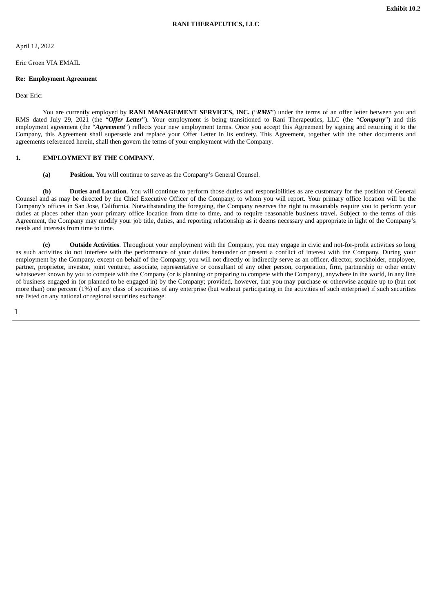<span id="page-37-0"></span>April 12, 2022

Eric Groen VIA EMAIL

#### **Re: Employment Agreement**

Dear Eric:

You are currently employed by **RANI MANAGEMENT SERVICES, INC.** ("*RMS*") under the terms of an offer letter between you and RMS dated July 29, 2021 (the "*Offer Letter*"). Your employment is being transitioned to Rani Therapeutics, LLC (the "*Company*") and this employment agreement (the "*Agreement*") reflects your new employment terms. Once you accept this Agreement by signing and returning it to the Company, this Agreement shall supersede and replace your Offer Letter in its entirety. This Agreement, together with the other documents and agreements referenced herein, shall then govern the terms of your employment with the Company.

#### **1. EMPLOYMENT BY THE COMPANY**.

**(a) Position**. You will continue to serve as the Company's General Counsel.

**(b) Duties and Location**. You will continue to perform those duties and responsibilities as are customary for the position of General Counsel and as may be directed by the Chief Executive Officer of the Company, to whom you will report. Your primary office location will be the Company's offices in San Jose, California. Notwithstanding the foregoing, the Company reserves the right to reasonably require you to perform your duties at places other than your primary office location from time to time, and to require reasonable business travel. Subject to the terms of this Agreement, the Company may modify your job title, duties, and reporting relationship as it deems necessary and appropriate in light of the Company's needs and interests from time to time.

**(c) Outside Activities**. Throughout your employment with the Company, you may engage in civic and not-for-profit activities so long as such activities do not interfere with the performance of your duties hereunder or present a conflict of interest with the Company. During your employment by the Company, except on behalf of the Company, you will not directly or indirectly serve as an officer, director, stockholder, employee, partner, proprietor, investor, joint venturer, associate, representative or consultant of any other person, corporation, firm, partnership or other entity whatsoever known by you to compete with the Company (or is planning or preparing to compete with the Company), anywhere in the world, in any line of business engaged in (or planned to be engaged in) by the Company; provided, however, that you may purchase or otherwise acquire up to (but not more than) one percent (1%) of any class of securities of any enterprise (but without participating in the activities of such enterprise) if such securities are listed on any national or regional securities exchange.

1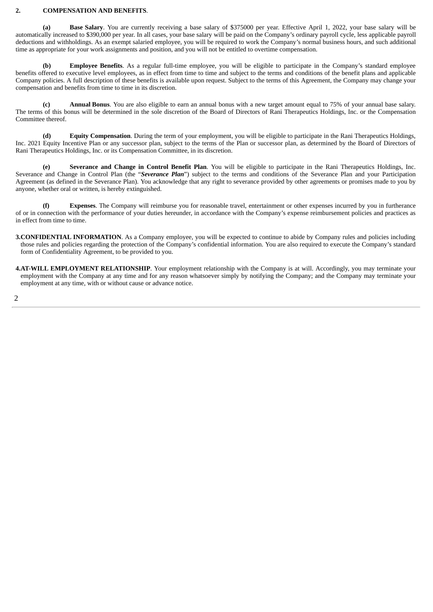#### **2. COMPENSATION AND BENEFITS**.

**(a) Base Salary**. You are currently receiving a base salary of \$375000 per year. Effective April 1, 2022, your base salary will be automatically increased to \$390,000 per year. In all cases, your base salary will be paid on the Company's ordinary payroll cycle, less applicable payroll deductions and withholdings. As an exempt salaried employee, you will be required to work the Company's normal business hours, and such additional time as appropriate for your work assignments and position, and you will not be entitled to overtime compensation.

**(b) Employee Benefits**. As a regular full-time employee, you will be eligible to participate in the Company's standard employee benefits offered to executive level employees, as in effect from time to time and subject to the terms and conditions of the benefit plans and applicable Company policies. A full description of these benefits is available upon request. Subject to the terms of this Agreement, the Company may change your compensation and benefits from time to time in its discretion.

**(c) Annual Bonus**. You are also eligible to earn an annual bonus with a new target amount equal to 75% of your annual base salary. The terms of this bonus will be determined in the sole discretion of the Board of Directors of Rani Therapeutics Holdings, Inc. or the Compensation Committee thereof.

**(d) Equity Compensation**. During the term of your employment, you will be eligible to participate in the Rani Therapeutics Holdings, Inc. 2021 Equity Incentive Plan or any successor plan, subject to the terms of the Plan or successor plan, as determined by the Board of Directors of Rani Therapeutics Holdings, Inc. or its Compensation Committee, in its discretion.

**(e) Severance and Change in Control Benefit Plan**. You will be eligible to participate in the Rani Therapeutics Holdings, Inc. Severance and Change in Control Plan (the "*Severance Plan*") subject to the terms and conditions of the Severance Plan and your Participation Agreement (as defined in the Severance Plan). You acknowledge that any right to severance provided by other agreements or promises made to you by anyone, whether oral or written, is hereby extinguished.

**(f) Expenses**. The Company will reimburse you for reasonable travel, entertainment or other expenses incurred by you in furtherance of or in connection with the performance of your duties hereunder, in accordance with the Company's expense reimbursement policies and practices as in effect from time to time.

- **3.CONFIDENTIAL INFORMATION**. As a Company employee, you will be expected to continue to abide by Company rules and policies including those rules and policies regarding the protection of the Company's confidential information. You are also required to execute the Company's standard form of Confidentiality Agreement, to be provided to you.
- **4.AT-WILL EMPLOYMENT RELATIONSHIP**. Your employment relationship with the Company is at will. Accordingly, you may terminate your employment with the Company at any time and for any reason whatsoever simply by notifying the Company; and the Company may terminate your employment at any time, with or without cause or advance notice.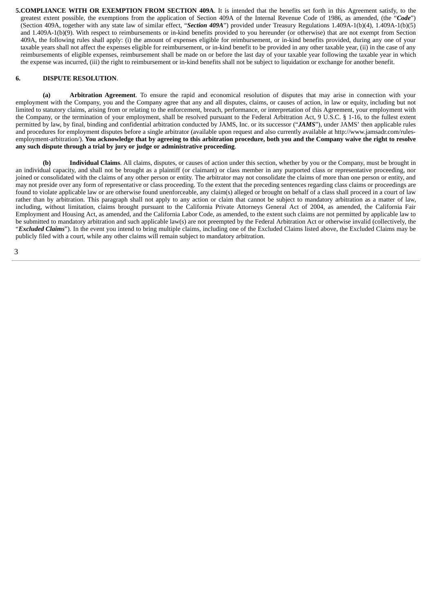**5.COMPLIANCE WITH OR EXEMPTION FROM SECTION 409A**. It is intended that the benefits set forth in this Agreement satisfy, to the greatest extent possible, the exemptions from the application of Section 409A of the Internal Revenue Code of 1986, as amended, (the "*Code*") (Section 409A, together with any state law of similar effect, "*Section 409A*") provided under Treasury Regulations 1.409A-1(b)(4), 1.409A-1(b)(5) and 1.409A-1(b)(9). With respect to reimbursements or in-kind benefits provided to you hereunder (or otherwise) that are not exempt from Section 409A, the following rules shall apply: (i) the amount of expenses eligible for reimbursement, or in-kind benefits provided, during any one of your taxable years shall not affect the expenses eligible for reimbursement, or in-kind benefit to be provided in any other taxable year, (ii) in the case of any reimbursements of eligible expenses, reimbursement shall be made on or before the last day of your taxable year following the taxable year in which the expense was incurred, (iii) the right to reimbursement or in-kind benefits shall not be subject to liquidation or exchange for another benefit.

#### **6. DISPUTE RESOLUTION**.

**(a) Arbitration Agreement**. To ensure the rapid and economical resolution of disputes that may arise in connection with your employment with the Company, you and the Company agree that any and all disputes, claims, or causes of action, in law or equity, including but not limited to statutory claims, arising from or relating to the enforcement, breach, performance, or interpretation of this Agreement, your employment with the Company, or the termination of your employment, shall be resolved pursuant to the Federal Arbitration Act, 9 U.S.C. § 1-16, to the fullest extent permitted by law, by final, binding and confidential arbitration conducted by JAMS, Inc. or its successor ("*JAMS*"), under JAMS' then applicable rules and procedures for employment disputes before a single arbitrator (available upon request and also currently available at http://www.jamsadr.com/rulesemployment-arbitration/). You acknowledge that by agreeing to this arbitration procedure, both you and the Company waive the right to resolve **any such dispute through a trial by jury or judge or administrative proceeding**.

**(b) Individual Claims**. All claims, disputes, or causes of action under this section, whether by you or the Company, must be brought in an individual capacity, and shall not be brought as a plaintiff (or claimant) or class member in any purported class or representative proceeding, nor joined or consolidated with the claims of any other person or entity. The arbitrator may not consolidate the claims of more than one person or entity, and may not preside over any form of representative or class proceeding. To the extent that the preceding sentences regarding class claims or proceedings are found to violate applicable law or are otherwise found unenforceable, any claim(s) alleged or brought on behalf of a class shall proceed in a court of law rather than by arbitration. This paragraph shall not apply to any action or claim that cannot be subject to mandatory arbitration as a matter of law, including, without limitation, claims brought pursuant to the California Private Attorneys General Act of 2004, as amended, the California Fair Employment and Housing Act, as amended, and the California Labor Code, as amended, to the extent such claims are not permitted by applicable law to be submitted to mandatory arbitration and such applicable law(s) are not preempted by the Federal Arbitration Act or otherwise invalid (collectively, the "*Excluded Claims*"). In the event you intend to bring multiple claims, including one of the Excluded Claims listed above, the Excluded Claims may be publicly filed with a court, while any other claims will remain subject to mandatory arbitration.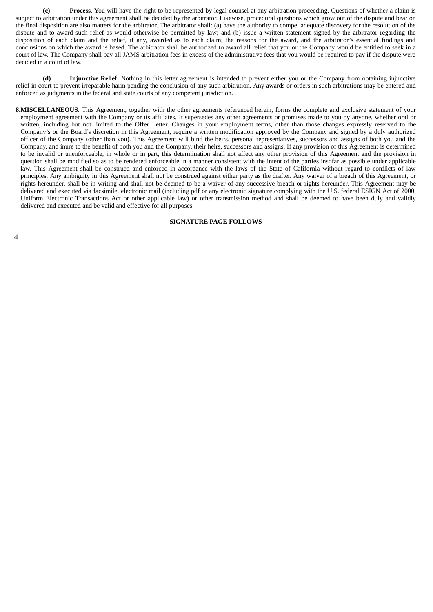**(c) Process**. You will have the right to be represented by legal counsel at any arbitration proceeding. Questions of whether a claim is subject to arbitration under this agreement shall be decided by the arbitrator. Likewise, procedural questions which grow out of the dispute and bear on the final disposition are also matters for the arbitrator. The arbitrator shall: (a) have the authority to compel adequate discovery for the resolution of the dispute and to award such relief as would otherwise be permitted by law; and (b) issue a written statement signed by the arbitrator regarding the disposition of each claim and the relief, if any, awarded as to each claim, the reasons for the award, and the arbitrator's essential findings and conclusions on which the award is based. The arbitrator shall be authorized to award all relief that you or the Company would be entitled to seek in a court of law. The Company shall pay all JAMS arbitration fees in excess of the administrative fees that you would be required to pay if the dispute were decided in a court of law.

**(d) Injunctive Relief**. Nothing in this letter agreement is intended to prevent either you or the Company from obtaining injunctive relief in court to prevent irreparable harm pending the conclusion of any such arbitration. Any awards or orders in such arbitrations may be entered and enforced as judgments in the federal and state courts of any competent jurisdiction.

**8.MISCELLANEOUS**. This Agreement, together with the other agreements referenced herein, forms the complete and exclusive statement of your employment agreement with the Company or its affiliates. It supersedes any other agreements or promises made to you by anyone, whether oral or written, including but not limited to the Offer Letter. Changes in your employment terms, other than those changes expressly reserved to the Company's or the Board's discretion in this Agreement, require a written modification approved by the Company and signed by a duly authorized officer of the Company (other than you). This Agreement will bind the heirs, personal representatives, successors and assigns of both you and the Company, and inure to the benefit of both you and the Company, their heirs, successors and assigns. If any provision of this Agreement is determined to be invalid or unenforceable, in whole or in part, this determination shall not affect any other provision of this Agreement and the provision in question shall be modified so as to be rendered enforceable in a manner consistent with the intent of the parties insofar as possible under applicable law. This Agreement shall be construed and enforced in accordance with the laws of the State of California without regard to conflicts of law principles. Any ambiguity in this Agreement shall not be construed against either party as the drafter. Any waiver of a breach of this Agreement, or rights hereunder, shall be in writing and shall not be deemed to be a waiver of any successive breach or rights hereunder. This Agreement may be delivered and executed via facsimile, electronic mail (including pdf or any electronic signature complying with the U.S. federal ESIGN Act of 2000, Uniform Electronic Transactions Act or other applicable law) or other transmission method and shall be deemed to have been duly and validly delivered and executed and be valid and effective for all purposes.

#### **SIGNATURE PAGE FOLLOWS**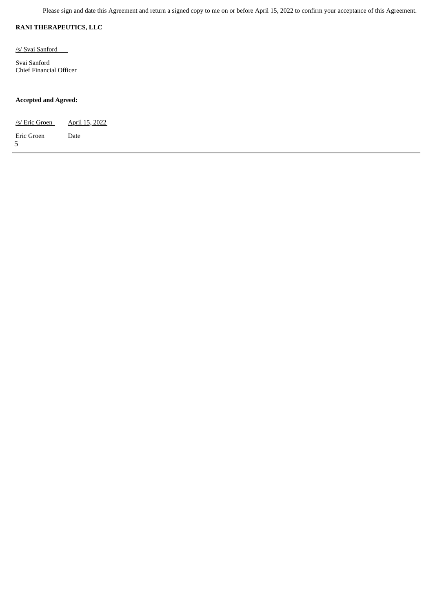Please sign and date this Agreement and return a signed copy to me on or before April 15, 2022 to confirm your acceptance of this Agreement.

## **RANI THERAPEUTICS, LLC**

/s/ Svai Sanford

Svai Sanford Chief Financial Officer

## **Accepted and Agreed:**

| /s/ Eric Groen  | April 15, 2022 |
|-----------------|----------------|
| Eric Groen<br>5 | Date           |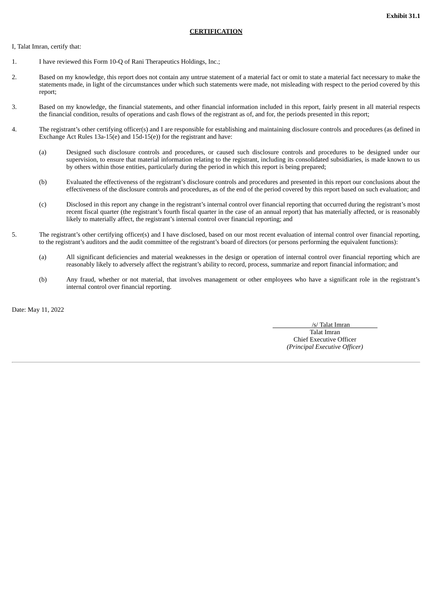#### **CERTIFICATION**

<span id="page-42-0"></span>I, Talat Imran, certify that:

- 1. I have reviewed this Form 10-Q of Rani Therapeutics Holdings, Inc.;
- 2. Based on my knowledge, this report does not contain any untrue statement of a material fact or omit to state a material fact necessary to make the statements made, in light of the circumstances under which such statements were made, not misleading with respect to the period covered by this report;
- 3. Based on my knowledge, the financial statements, and other financial information included in this report, fairly present in all material respects the financial condition, results of operations and cash flows of the registrant as of, and for, the periods presented in this report;
- 4. The registrant's other certifying officer(s) and I are responsible for establishing and maintaining disclosure controls and procedures (as defined in Exchange Act Rules 13a-15(e) and 15d-15(e)) for the registrant and have:
	- (a) Designed such disclosure controls and procedures, or caused such disclosure controls and procedures to be designed under our supervision, to ensure that material information relating to the registrant, including its consolidated subsidiaries, is made known to us by others within those entities, particularly during the period in which this report is being prepared;
	- (b) Evaluated the effectiveness of the registrant's disclosure controls and procedures and presented in this report our conclusions about the effectiveness of the disclosure controls and procedures, as of the end of the period covered by this report based on such evaluation; and
	- (c) Disclosed in this report any change in the registrant's internal control over financial reporting that occurred during the registrant's most recent fiscal quarter (the registrant's fourth fiscal quarter in the case of an annual report) that has materially affected, or is reasonably likely to materially affect, the registrant's internal control over financial reporting; and
- 5. The registrant's other certifying officer(s) and I have disclosed, based on our most recent evaluation of internal control over financial reporting, to the registrant's auditors and the audit committee of the registrant's board of directors (or persons performing the equivalent functions):
	- (a) All significant deficiencies and material weaknesses in the design or operation of internal control over financial reporting which are reasonably likely to adversely affect the registrant's ability to record, process, summarize and report financial information; and
	- (b) Any fraud, whether or not material, that involves management or other employees who have a significant role in the registrant's internal control over financial reporting.

Date: May 11, 2022

/s/ Talat Imran Talat Imran Chief Executive Officer *(Principal Executive Officer)*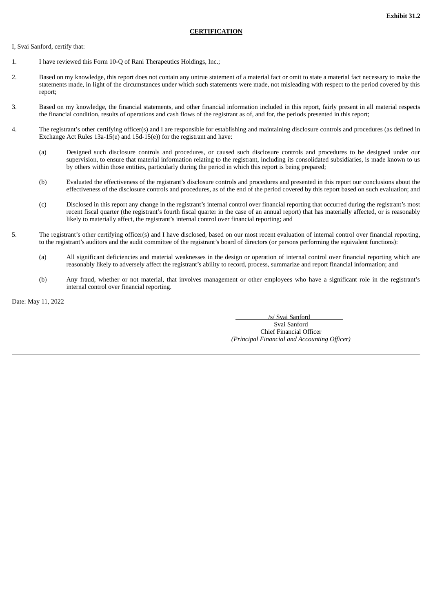<span id="page-43-0"></span>I, Svai Sanford, certify that:

- 1. I have reviewed this Form 10-Q of Rani Therapeutics Holdings, Inc.;
- 2. Based on my knowledge, this report does not contain any untrue statement of a material fact or omit to state a material fact necessary to make the statements made, in light of the circumstances under which such statements were made, not misleading with respect to the period covered by this report;
- 3. Based on my knowledge, the financial statements, and other financial information included in this report, fairly present in all material respects the financial condition, results of operations and cash flows of the registrant as of, and for, the periods presented in this report;
- 4. The registrant's other certifying officer(s) and I are responsible for establishing and maintaining disclosure controls and procedures (as defined in Exchange Act Rules 13a-15(e) and 15d-15(e)) for the registrant and have:
	- (a) Designed such disclosure controls and procedures, or caused such disclosure controls and procedures to be designed under our supervision, to ensure that material information relating to the registrant, including its consolidated subsidiaries, is made known to us by others within those entities, particularly during the period in which this report is being prepared;
	- (b) Evaluated the effectiveness of the registrant's disclosure controls and procedures and presented in this report our conclusions about the effectiveness of the disclosure controls and procedures, as of the end of the period covered by this report based on such evaluation; and
	- (c) Disclosed in this report any change in the registrant's internal control over financial reporting that occurred during the registrant's most recent fiscal quarter (the registrant's fourth fiscal quarter in the case of an annual report) that has materially affected, or is reasonably likely to materially affect, the registrant's internal control over financial reporting; and
- 5. The registrant's other certifying officer(s) and I have disclosed, based on our most recent evaluation of internal control over financial reporting, to the registrant's auditors and the audit committee of the registrant's board of directors (or persons performing the equivalent functions):
	- (a) All significant deficiencies and material weaknesses in the design or operation of internal control over financial reporting which are reasonably likely to adversely affect the registrant's ability to record, process, summarize and report financial information; and
	- (b) Any fraud, whether or not material, that involves management or other employees who have a significant role in the registrant's internal control over financial reporting.

Date: May 11, 2022

/s/ Svai Sanford Svai Sanford Chief Financial Officer *(Principal Financial and Accounting Officer)*